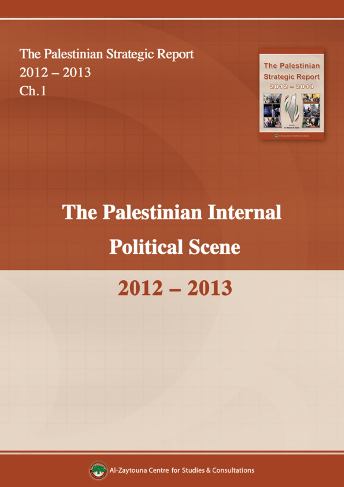The Palestinian Strategic Report  $2012 - 2013$  $Ch.1$ 



# **The Palestinian Internal Political Scene**

## $2012 - 2013$



Al-Zaytouna Centre for Studies & Consultations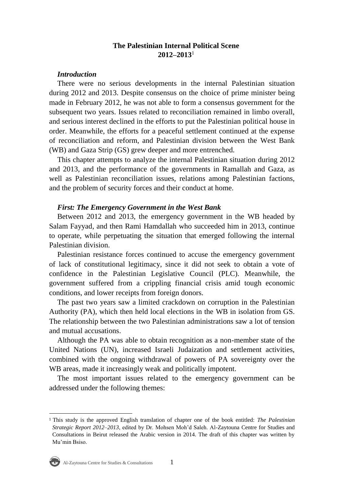## **The Palestinian Internal Political Scene 2012–2013**<sup>1</sup>

### *Introduction*

There were no serious developments in the internal Palestinian situation during 2012 and 2013. Despite consensus on the choice of prime minister being made in February 2012, he was not able to form a consensus government for the subsequent two years. Issues related to reconciliation remained in limbo overall, and serious interest declined in the efforts to put the Palestinian political house in order. Meanwhile, the efforts for a peaceful settlement continued at the expense of reconciliation and reform, and Palestinian division between the West Bank (WB) and Gaza Strip (GS) grew deeper and more entrenched.

This chapter attempts to analyze the internal Palestinian situation during 2012 and 2013, and the performance of the governments in Ramallah and Gaza, as well as Palestinian reconciliation issues, relations among Palestinian factions, and the problem of security forces and their conduct at home.

#### *First: The Emergency Government in the West Bank*

Between 2012 and 2013, the emergency government in the WB headed by Salam Fayyad, and then Rami Hamdallah who succeeded him in 2013, continue to operate, while perpetuating the situation that emerged following the internal Palestinian division.

Palestinian resistance forces continued to accuse the emergency government of lack of constitutional legitimacy, since it did not seek to obtain a vote of confidence in the Palestinian Legislative Council (PLC). Meanwhile, the government suffered from a crippling financial crisis amid tough economic conditions, and lower receipts from foreign donors.

The past two years saw a limited crackdown on corruption in the Palestinian Authority (PA), which then held local elections in the WB in isolation from GS. The relationship between the two Palestinian administrations saw a lot of tension and mutual accusations.

Although the PA was able to obtain recognition as a non-member state of the United Nations (UN), increased Israeli Judaization and settlement activities, combined with the ongoing withdrawal of powers of PA sovereignty over the WB areas, made it increasingly weak and politically impotent.

The most important issues related to the emergency government can be addressed under the following themes:

<sup>1</sup> This study is the approved English translation of chapter one of the book entitled: *The Palestinian Strategic Report 2012–2013*, edited by Dr. Mohsen Moh'd Saleh. Al-Zaytouna Centre for Studies and Consultations in Beirut released the Arabic version in 2014. The draft of this chapter was written by Mu'min Bsiso.

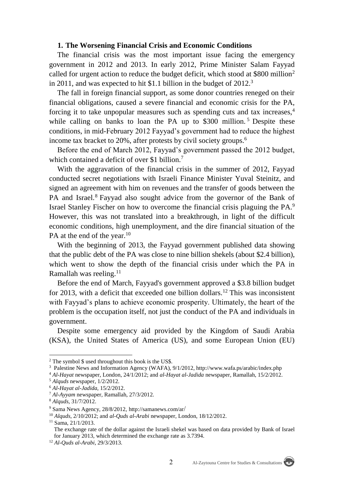#### **1. The Worsening Financial Crisis and Economic Conditions**

The financial crisis was the most important issue facing the emergency government in 2012 and 2013. In early 2012, Prime Minister Salam Fayyad called for urgent action to reduce the budget deficit, which stood at \$800 million<sup>2</sup> in 2011, and was expected to hit \$1.1 billion in the budget of 2012. 3

The fall in foreign financial support, as some donor countries reneged on their financial obligations, caused a severe financial and economic crisis for the PA, forcing it to take unpopular measures such as spending cuts and tax increases,<sup>4</sup> while calling on banks to loan the PA up to  $$300$  million.<sup>5</sup> Despite these conditions, in mid-February 2012 Fayyad's government had to reduce the highest income tax bracket to 20%, after protests by civil society groups.<sup>6</sup>

Before the end of March 2012, Fayyad's government passed the 2012 budget, which contained a deficit of over \$1 billion.<sup>7</sup>

With the aggravation of the financial crisis in the summer of 2012, Fayyad conducted secret negotiations with Israeli Finance Minister Yuval Steinitz, and signed an agreement with him on revenues and the transfer of goods between the PA and Israel.<sup>8</sup> Fayyad also sought advice from the governor of the Bank of Israel Stanley Fischer on how to overcome the financial crisis plaguing the PA.<sup>9</sup> However, this was not translated into a breakthrough, in light of the difficult economic conditions, high unemployment, and the dire financial situation of the PA at the end of the year.<sup>10</sup>

With the beginning of 2013, the Fayyad government published data showing that the public debt of the PA was close to nine billion shekels (about \$2.4 billion), which went to show the depth of the financial crisis under which the PA in Ramallah was reeling.<sup>11</sup>

Before the end of March, Fayyad's government approved a \$3.8 billion budget for 2013, with a deficit that exceeded one billion dollars.<sup>12</sup> This was inconsistent with Fayyad's plans to achieve economic prosperity. Ultimately, the heart of the problem is the occupation itself, not just the conduct of the PA and individuals in government.

Despite some emergency aid provided by the Kingdom of Saudi Arabia (KSA), the United States of America (US), and some European Union (EU)



 $2$  The symbol  $\frac{1}{2}$  used throughout this book is the US\$.

<sup>3</sup> Palestine News and Information Agency (WAFA), 9/1/2012, http://www.wafa.ps/arabic/index.php

<sup>4</sup> *Al-Hayat* newspaper, London, 24/1/2012; and *al-Hayat al-Jadida* newspaper, Ramallah, 15/2/2012.

<sup>5</sup> *Alquds* newspaper, 1/2/2012.

<sup>6</sup> *Al-Hayat al-Jadida*, 15/2/2012.

<sup>7</sup> *Al-Ayyam* newspaper, Ramallah, 27/3/2012.

<sup>8</sup> *Alquds*, 31/7/2012.

<sup>9</sup> Sama News Agency, 28/8/2012, http://samanews.com/ar/

<sup>10</sup> *Alquds*, 2/10/2012; and *al-Quds al-Arabi* newspaper, London, 18/12/2012.

<sup>11</sup> Sama, 21/1/2013.

The exchange rate of the dollar against the Israeli shekel was based on data provided by Bank of Israel for January 2013, which determined the exchange rate as 3.7394.

<sup>12</sup> *Al-Quds al-Arabi*, 29/3/2013.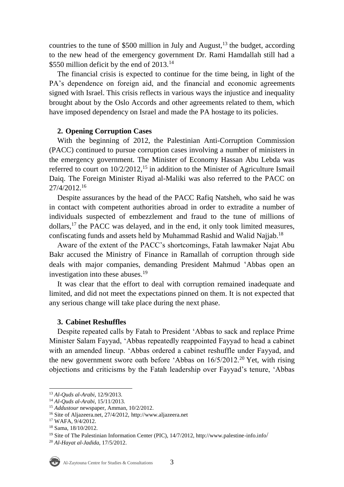countries to the tune of \$500 million in July and August,  $^{13}$  the budget, according to the new head of the emergency government Dr. Rami Hamdallah still had a \$550 million deficit by the end of  $2013$ .<sup>14</sup>

The financial crisis is expected to continue for the time being, in light of the PA's dependence on foreign aid, and the financial and economic agreements signed with Israel. This crisis reflects in various ways the injustice and inequality brought about by the Oslo Accords and other agreements related to them, which have imposed dependency on Israel and made the PA hostage to its policies.

## **2. Opening Corruption Cases**

With the beginning of 2012, the Palestinian Anti-Corruption Commission (PACC) continued to pursue corruption cases involving a number of ministers in the emergency government. The Minister of Economy Hassan Abu Lebda was referred to court on  $10/2/2012$ ,<sup>15</sup> in addition to the Minister of Agriculture Ismail Daiq. The Foreign Minister Riyad al-Maliki was also referred to the PACC on 27/4/2012.<sup>16</sup>

Despite assurances by the head of the PACC Rafiq Natsheh, who said he was in contact with competent authorities abroad in order to extradite a number of individuals suspected of embezzlement and fraud to the tune of millions of dollars,<sup>17</sup> the PACC was delayed, and in the end, it only took limited measures, confiscating funds and assets held by Muhammad Rashid and Walid Najjab.<sup>18</sup>

Aware of the extent of the PACC's shortcomings, Fatah lawmaker Najat Abu Bakr accused the Ministry of Finance in Ramallah of corruption through side deals with major companies, demanding President Mahmud 'Abbas open an investigation into these abuses.<sup>19</sup>

It was clear that the effort to deal with corruption remained inadequate and limited, and did not meet the expectations pinned on them. It is not expected that any serious change will take place during the next phase.

## **3. Cabinet Reshuffles**

Despite repeated calls by Fatah to President 'Abbas to sack and replace Prime Minister Salam Fayyad, 'Abbas repeatedly reappointed Fayyad to head a cabinet with an amended lineup. 'Abbas ordered a cabinet reshuffle under Fayyad, and the new government swore oath before 'Abbas on  $16/5/2012$ <sup>20</sup> Yet, with rising objections and criticisms by the Fatah leadership over Fayyad's tenure, 'Abbas

<sup>20</sup> *Al-Hayat al-Jadida*, 17/5/2012.



 $\overline{a}$ 

<sup>13</sup> *Al-Quds al-Arabi*, 12/9/2013.

<sup>14</sup> *Al-Quds al-Arabi*, 15/11/2013.

<sup>15</sup> *Addustour* newspaper, Amman, 10/2/2012.

<sup>16</sup> Site of Aljazeera.net, 27/4/2012[,](http://www.aljazeera.net/news/pages/d78cd4f6-a113-43ec-8191-01a18e7151b8) [http://www.aljazeera.net](http://www.aljazeera.net/news/pages/d78cd4f6-a113-43ec-8191-01a18e7151b8)

<sup>17</sup> WAFA, 9/4/2012.

<sup>18</sup> Sama, 18/10/2012.

<sup>&</sup>lt;sup>19</sup> Site of The Palestinian Information Center (PIC), 14/7/2012, http://www.palestine-info.info/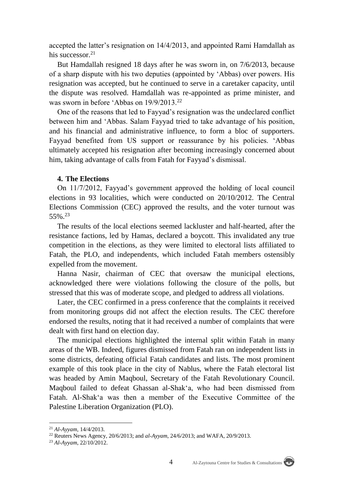accepted the latter's resignation on 14/4/2013, and appointed Rami Hamdallah as his successor.<sup>21</sup>

But Hamdallah resigned 18 days after he was sworn in, on 7/6/2013, because of a sharp dispute with his two deputies (appointed by 'Abbas) over powers. His resignation was accepted, but he continued to serve in a caretaker capacity, until the dispute was resolved. Hamdallah was re-appointed as prime minister, and was sworn in before 'Abbas on 19/9/2013.<sup>22</sup>

One of the reasons that led to Fayyad's resignation was the undeclared conflict between him and 'Abbas. Salam Fayyad tried to take advantage of his position, and his financial and administrative influence, to form a bloc of supporters. Fayyad benefited from US support or reassurance by his policies. 'Abbas ultimately accepted his resignation after becoming increasingly concerned about him, taking advantage of calls from Fatah for Fayyad's dismissal.

#### **4. The Elections**

On 11/7/2012, Fayyad's government approved the holding of local council elections in 93 localities, which were conducted on 20/10/2012. The Central Elections Commission (CEC) approved the results, and the voter turnout was 55%.<sup>23</sup>

The results of the local elections seemed lackluster and half-hearted, after the resistance factions, led by Hamas, declared a boycott. This invalidated any true competition in the elections, as they were limited to electoral lists affiliated to Fatah, the PLO, and independents, which included Fatah members ostensibly expelled from the movement.

Hanna Nasir, chairman of CEC that oversaw the municipal elections, acknowledged there were violations following the closure of the polls, but stressed that this was of moderate scope, and pledged to address all violations.

Later, the CEC confirmed in a press conference that the complaints it received from monitoring groups did not affect the election results. The CEC therefore endorsed the results, noting that it had received a number of complaints that were dealt with first hand on election day.

The municipal elections highlighted the internal split within Fatah in many areas of the WB. Indeed, figures dismissed from Fatah ran on independent lists in some districts, defeating official Fatah candidates and lists. The most prominent example of this took place in the city of Nablus, where the Fatah electoral list was headed by Amin Maqboul, Secretary of the Fatah Revolutionary Council. Maqboul failed to defeat Ghassan al-Shak'a, who had been dismissed from Fatah. Al-Shak'a was then a member of the Executive Committee of the Palestine Liberation Organization (PLO).

<sup>21</sup> *Al-Ayyam*, 14/4/2013.

<sup>22</sup> Reuters News Agency, 20/6/2013; and *al-Ayyam*, 24/6/2013; and WAFA, 20/9/2013.

<sup>23</sup> *Al-Ayyam*, 22/10/2012.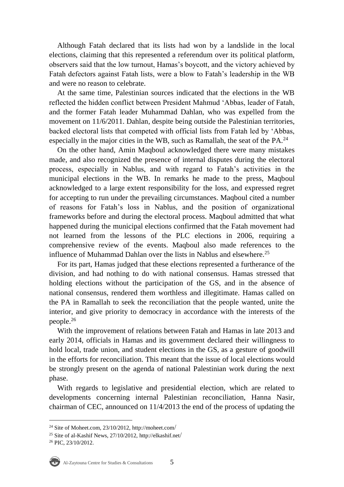Although Fatah declared that its lists had won by a landslide in the local elections, claiming that this represented a referendum over its political platform, observers said that the low turnout, Hamas's boycott, and the victory achieved by Fatah defectors against Fatah lists, were a blow to Fatah's leadership in the WB and were no reason to celebrate.

At the same time, Palestinian sources indicated that the elections in the WB reflected the hidden conflict between President Mahmud 'Abbas, leader of Fatah, and the former Fatah leader Muhammad Dahlan, who was expelled from the movement on 11/6/2011. Dahlan, despite being outside the Palestinian territories, backed electoral lists that competed with official lists from Fatah led by 'Abbas, especially in the major cities in the WB, such as Ramallah, the seat of the PA.<sup>24</sup>

On the other hand, Amin Maqboul acknowledged there were many mistakes made, and also recognized the presence of internal disputes during the electoral process, especially in Nablus, and with regard to Fatah's activities in the municipal elections in the WB. In remarks he made to the press, Maqboul acknowledged to a large extent responsibility for the loss, and expressed regret for accepting to run under the prevailing circumstances. Maqboul cited a number of reasons for Fatah's loss in Nablus, and the position of organizational frameworks before and during the electoral process. Maqboul admitted that what happened during the municipal elections confirmed that the Fatah movement had not learned from the lessons of the PLC elections in 2006, requiring a comprehensive review of the events. Maqboul also made references to the influence of Muhammad Dahlan over the lists in Nablus and elsewhere.<sup>25</sup>

For its part, Hamas judged that these elections represented a furtherance of the division, and had nothing to do with national consensus. Hamas stressed that holding elections without the participation of the GS, and in the absence of national consensus, rendered them worthless and illegitimate. Hamas called on the PA in Ramallah to seek the reconciliation that the people wanted, unite the interior, and give priority to democracy in accordance with the interests of the people.<sup>26</sup>

With the improvement of relations between Fatah and Hamas in late 2013 and early 2014, officials in Hamas and its government declared their willingness to hold local, trade union, and student elections in the GS, as a gesture of goodwill in the efforts for reconciliation. This meant that the issue of local elections would be strongly present on the agenda of national Palestinian work during the next phase.

With regards to legislative and presidential election, which are related to developments concerning internal Palestinian reconciliation, Hanna Nasir, chairman of CEC, announced on 11/4/2013 the end of the process of updating the

<sup>26</sup> PIC, 23/10/2012.



<sup>&</sup>lt;sup>24</sup> Site of Moheet.com,  $23/10/2012$ , [http://moheet.com](http://moheet.com/)/

<sup>25</sup> Site of al-Kashif News, 27/10/2012, [http://elkashif.net](http://elkashif.net/)/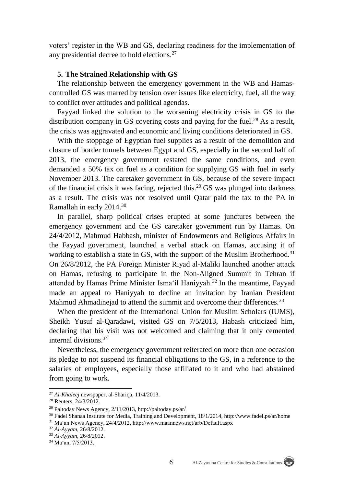voters' register in the WB and GS, declaring readiness for the implementation of any presidential decree to hold elections.<sup>27</sup>

#### **5. The Strained Relationship with GS**

The relationship between the emergency government in the WB and Hamascontrolled GS was marred by tension over issues like electricity, fuel, all the way to conflict over attitudes and political agendas.

Fayyad linked the solution to the worsening electricity crisis in GS to the distribution company in GS covering costs and paying for the fuel.<sup>28</sup> As a result, the crisis was aggravated and economic and living conditions deteriorated in GS.

With the stoppage of Egyptian fuel supplies as a result of the demolition and closure of border tunnels between Egypt and GS, especially in the second half of 2013, the emergency government restated the same conditions, and even demanded a 50% tax on fuel as a condition for supplying GS with fuel in early November 2013. The caretaker government in GS, because of the severe impact of the financial crisis it was facing, rejected this.<sup>29</sup> GS was plunged into darkness as a result. The crisis was not resolved until Qatar paid the tax to the PA in Ramallah in early 2014.<sup>30</sup>

In parallel, sharp political crises erupted at some junctures between the emergency government and the GS caretaker government run by Hamas. On 24/4/2012, Mahmud Habbash, minister of Endowments and Religious Affairs in the Fayyad government, launched a verbal attack on Hamas, accusing it of working to establish a state in GS, with the support of the Muslim Brotherhood.<sup>31</sup> On 26/8/2012, the PA Foreign Minister Riyad al-Maliki launched another attack on Hamas, refusing to participate in the Non-Aligned Summit in Tehran if attended by Hamas Prime Minister Isma'il Haniyyah.<sup>32</sup> In the meantime, Fayyad made an appeal to Haniyyah to decline an invitation by Iranian President Mahmud Ahmadinejad to attend the summit and overcome their differences.<sup>33</sup>

When the president of the International Union for Muslim Scholars (IUMS), Sheikh Yusuf al-Qaradawi, visited GS on 7/5/2013, Habash criticized him, declaring that his visit was not welcomed and claiming that it only cemented internal divisions.<sup>34</sup>

Nevertheless, the emergency government reiterated on more than one occasion its pledge to not suspend its financial obligations to the GS, in a reference to the salaries of employees, especially those affiliated to it and who had abstained from going to work.

 $\overline{a}$ 

<sup>27</sup> *Al-Khaleej* newspaper, al-Shariqa, 11/4/2013.

<sup>28</sup> Reuters, 24/3/2012.

<sup>&</sup>lt;sup>29</sup> Paltoday News Agency,  $2/11/2013$ , [http://paltoday.ps/ar](http://paltoday.ps/ar/)/

<sup>30</sup> Fadel Shanaa Institute for Media, Training and Development, 18/1/2014, http://www.fadel.ps/ar/home <sup>31</sup> Ma'an News Agency, 24/4/2012, http://www.maannews.net/arb/Default.aspx

<sup>32</sup> *Al-Ayyam*, 26/8/2012.

<sup>33</sup> *Al-Ayyam*, 26/8/2012.

<sup>34</sup> Ma'an, 7/5/2013.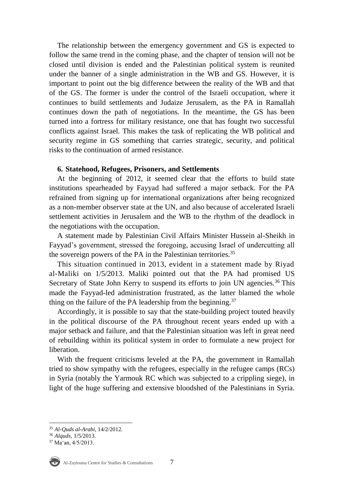The relationship between the emergency government and GS is expected to follow the same trend in the coming phase, and the chapter of tension will not be closed until division is ended and the Palestinian political system is reunited under the banner of a single administration in the WB and GS. However, it is important to point out the big difference between the reality of the WB and that of the GS. The former is under the control of the Israeli occupation, where it continues to build settlements and Judaize Jerusalem, as the PA in Ramallah continues down the path of negotiations. In the meantime, the GS has been turned into a fortress for military resistance, one that has fought two successful conflicts against Israel. This makes the task of replicating the WB political and security regime in GS something that carries strategic, security, and political risks to the continuation of armed resistance.

## **6. Statehood, Refugees, Prisoners, and Settlements**

At the beginning of 2012, it seemed clear that the efforts to build state institutions spearheaded by Fayyad had suffered a major setback. For the PA refrained from signing up for international organizations after being recognized as a non-member observer state at the UN, and also because of accelerated Israeli settlement activities in Jerusalem and the WB to the rhythm of the deadlock in the negotiations with the occupation.

A statement made by Palestinian Civil Affairs Minister Hussein al-Sheikh in Fayyad's government, stressed the foregoing, accusing Israel of undercutting all the sovereign powers of the PA in the Palestinian territories.<sup>35</sup>

This situation continued in 2013, evident in a statement made by Riyad al-Maliki on 1/5/2013. Maliki pointed out that the PA had promised US Secretary of State John Kerry to suspend its efforts to join UN agencies.<sup>36</sup> This made the Fayyad-led administration frustrated, as the latter blamed the whole thing on the failure of the PA leadership from the beginning.<sup>37</sup>

Accordingly, it is possible to say that the state-building project touted heavily in the political discourse of the PA throughout recent years ended up with a major setback and failure, and that the Palestinian situation was left in great need of rebuilding within its political system in order to formulate a new project for liberation.

With the frequent criticisms leveled at the PA, the government in Ramallah tried to show sympathy with the refugees, especially in the refugee camps (RCs) in Syria (notably the Yarmouk RC which was subjected to a crippling siege), in light of the huge suffering and extensive bloodshed of the Palestinians in Syria.

<sup>37</sup> Ma'an, 4/5/2013.



<sup>35</sup> *Al-Quds al-Arabi*, 14/2/2012.

<sup>36</sup> *Alquds*, 1/5/2013.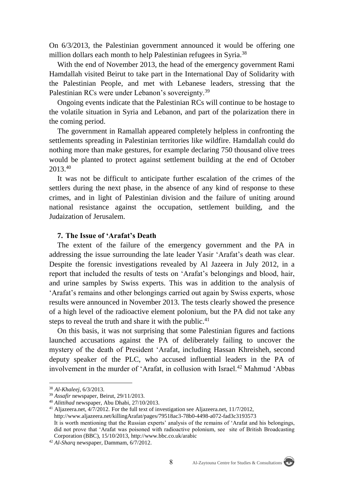On 6/3/2013, the Palestinian government announced it would be offering one million dollars each month to help Palestinian refugees in Syria.<sup>38</sup>

With the end of November 2013, the head of the emergency government Rami Hamdallah visited Beirut to take part in the International Day of Solidarity with the Palestinian People, and met with Lebanese leaders, stressing that the Palestinian RCs were under Lebanon's sovereignty.<sup>39</sup>

Ongoing events indicate that the Palestinian RCs will continue to be hostage to the volatile situation in Syria and Lebanon, and part of the polarization there in the coming period.

The government in Ramallah appeared completely helpless in confronting the settlements spreading in Palestinian territories like wildfire. Hamdallah could do nothing more than make gestures, for example declaring 750 thousand olive trees would be planted to protect against settlement building at the end of October 2013.<sup>40</sup>

It was not be difficult to anticipate further escalation of the crimes of the settlers during the next phase, in the absence of any kind of response to these crimes, and in light of Palestinian division and the failure of uniting around national resistance against the occupation, settlement building, and the Judaization of Jerusalem.

## **7. The Issue of 'Arafat's Death**

The extent of the failure of the emergency government and the PA in addressing the issue surrounding the late leader Yasir 'Arafat's death was clear. Despite the forensic investigations revealed by Al Jazeera in July 2012, in a report that included the results of tests on 'Arafat's belongings and blood, hair, and urine samples by Swiss experts. This was in addition to the analysis of 'Arafat's remains and other belongings carried out again by Swiss experts, whose results were announced in November 2013. The tests clearly showed the presence of a high level of the radioactive element polonium, but the PA did not take any steps to reveal the truth and share it with the public. $41$ 

On this basis, it was not surprising that some Palestinian figures and factions launched accusations against the PA of deliberately failing to uncover the mystery of the death of President 'Arafat, including Hassan Khreisheh, second deputy speaker of the PLC, who accused influential leaders in the PA of involvement in the murder of 'Arafat, in collusion with Israel.<sup>42</sup> Mahmud 'Abbas

<u>.</u>

<sup>41</sup> Aljazeera.net, 4/7/2012. For the full text of investigation see Aljazeera.net, 11/7/2012, <http://www.aljazeera.net/killingArafat/pages/79518ac3-78b0-4498-a072-fad3c3193573> It is worth mentioning that the Russian experts' analysis of the remains of 'Arafat and his belongings, did not prove that 'Arafat was poisoned with radioactive polonium, see site of British Broadcasting Corporation (BBC), 15/10/2013[, http://www.bbc.co.uk/arabic](http://www.bbc.co.uk/arabic)

<sup>38</sup> *Al-Khaleej*, 6/3/2013.

<sup>39</sup> *Assafir* newspaper, Beirut, 29/11/2013.

<sup>40</sup> *Alittihad* newspaper, Abu Dhabi, 27/10/2013.

<sup>42</sup> *Al-Sharq* newspaper, Dammam, 6/7/2012.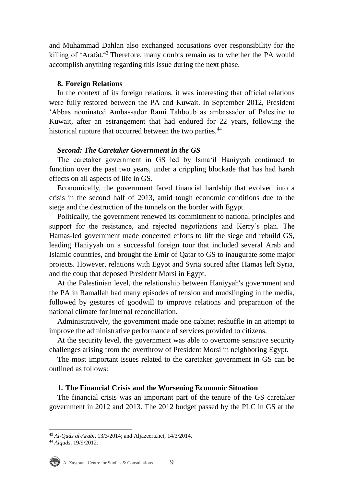and Muhammad Dahlan also exchanged accusations over responsibility for the killing of 'Arafat.<sup>43</sup> Therefore, many doubts remain as to whether the PA would accomplish anything regarding this issue during the next phase.

## **8. Foreign Relations**

In the context of its foreign relations, it was interesting that official relations were fully restored between the PA and Kuwait. In September 2012, President 'Abbas nominated Ambassador Rami Tahboub as ambassador of Palestine to Kuwait, after an estrangement that had endured for 22 years, following the historical rupture that occurred between the two parties.<sup>44</sup>

## *Second: The Caretaker Government in the GS*

The caretaker government in GS led by Isma'il Haniyyah continued to function over the past two years, under a crippling blockade that has had harsh effects on all aspects of life in GS.

Economically, the government faced financial hardship that evolved into a crisis in the second half of 2013, amid tough economic conditions due to the siege and the destruction of the tunnels on the border with Egypt.

Politically, the government renewed its commitment to national principles and support for the resistance, and rejected negotiations and Kerry's plan. The Hamas-led government made concerted efforts to lift the siege and rebuild GS, leading Haniyyah on a successful foreign tour that included several Arab and Islamic countries, and brought the Emir of Qatar to GS to inaugurate some major projects. However, relations with Egypt and Syria soured after Hamas left Syria, and the coup that deposed President Morsi in Egypt.

At the Palestinian level, the relationship between Haniyyah's government and the PA in Ramallah had many episodes of tension and mudslinging in the media, followed by gestures of goodwill to improve relations and preparation of the national climate for internal reconciliation.

Administratively, the government made one cabinet reshuffle in an attempt to improve the administrative performance of services provided to citizens.

At the security level, the government was able to overcome sensitive security challenges arising from the overthrow of President Morsi in neighboring Egypt.

The most important issues related to the caretaker government in GS can be outlined as follows:

## **1. The Financial Crisis and the Worsening Economic Situation**

The financial crisis was an important part of the tenure of the GS caretaker government in 2012 and 2013. The 2012 budget passed by the PLC in GS at the

<sup>44</sup> *Alquds*, 19/9/2012.



<sup>&</sup>lt;u>.</u> <sup>43</sup> *Al-Quds al-Arabi*, 13/3/2014; and Aljazeera.net, 14/3/2014.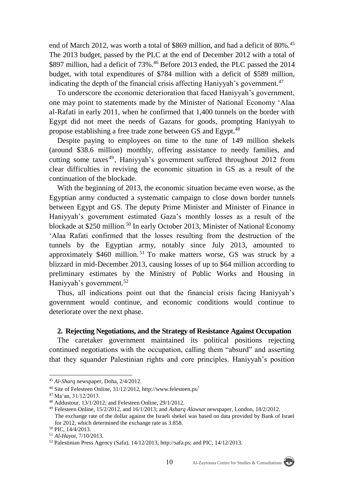end of March 2012, was worth a total of \$869 million, and had a deficit of 80%.<sup>45</sup> The 2013 budget, passed by the PLC at the end of December 2012 with a total of \$897 million, had a deficit of 73%.<sup>46</sup> Before 2013 ended, the PLC passed the 2014 budget, with total expenditures of \$784 million with a deficit of \$589 million, indicating the depth of the financial crisis affecting Haniyyah's government.<sup>47</sup>

To underscore the economic deterioration that faced Haniyyah's government, one may point to statements made by the Minister of National Economy 'Alaa al-Rafati in early 2011, when he confirmed that 1,400 tunnels on the border with Egypt did not meet the needs of Gazans for goods, prompting Haniyyah to propose establishing a free trade zone between GS and Egypt.<sup>48</sup>

Despite paying to employees on time to the tune of 149 million shekels (around \$38.6 million) monthly, offering assistance to needy families, and cutting some taxes<sup>49</sup>, Haniyyah's government suffered throughout 2012 from clear difficulties in reviving the economic situation in GS as a result of the continuation of the blockade.

With the beginning of 2013, the economic situation became even worse, as the Egyptian army conducted a systematic campaign to close down border tunnels between Egypt and GS. The deputy Prime Minister and Minister of Finance in Haniyyah's government estimated Gaza's monthly losses as a result of the blockade at \$250 million.<sup>50</sup> In early October 2013, Minister of National Economy 'Alaa Rafati confirmed that the losses resulting from the destruction of the tunnels by the Egyptian army, notably since July 2013, amounted to approximately \$460 million. <sup>51</sup> To make matters worse, GS was struck by a blizzard in mid-December 2013, causing losses of up to \$64 million according to preliminary estimates by the Ministry of Public Works and Housing in Haniyyah's government.<sup>52</sup>

Thus, all indications point out that the financial crisis facing Haniyyah's government would continue, and economic conditions would continue to deteriorate over the next phase.

## **2. Rejecting Negotiations, and the Strategy of Resistance Against Occupation**

The caretaker government maintained its political positions rejecting continued negotiations with the occupation, calling them "absurd" and asserting that they squander Palestinian rights and core principles. Haniyyah's position



<sup>45</sup> *Al-Sharq* newspaper, Doha, 2/4/2012.

<sup>46</sup> Site of Felesteen Online, 31/12/2012, http://www.felesteen.ps/

<sup>47</sup> Ma'an, 31/12/2013.

<sup>48</sup> Addustour, 13/1/2012; and Felesteen Online, 29/1/2012.

<sup>49</sup> Felesteen Online, 15/2/2012, and 16/1/2013; and *Asharq Alawsat* newspaper, London, 18/2/2012. The exchange rate of the dollar against the Israeli shekel was based on data provided by Bank of Israel for 2012, which determined the exchange rate as 3.858.

<sup>50</sup> PIC, 14/4/2013.

<sup>51</sup> *Al-Hayat*, 7/10/2013.

<sup>52</sup> Palestinian Press Agency (Safa), 14/12/2013[, http://safa.ps;](http://safa.ps/) and PIC, 14/12/2013.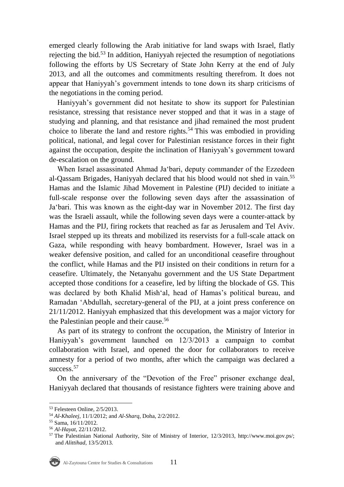emerged clearly following the Arab initiative for land swaps with Israel, flatly rejecting the bid.<sup>53</sup> In addition, Haniyyah rejected the resumption of negotiations following the efforts by US Secretary of State John Kerry at the end of July 2013, and all the outcomes and commitments resulting therefrom. It does not appear that Haniyyah's government intends to tone down its sharp criticisms of the negotiations in the coming period.

Haniyyah's government did not hesitate to show its support for Palestinian resistance, stressing that resistance never stopped and that it was in a stage of studying and planning, and that resistance and jihad remained the most prudent choice to liberate the land and restore rights.<sup>54</sup> This was embodied in providing political, national, and legal cover for Palestinian resistance forces in their fight against the occupation, despite the inclination of Haniyyah's government toward de-escalation on the ground.

When Israel assassinated Ahmad Ja'bari, deputy commander of the Ezzedeen al-Qassam Brigades, Haniyyah declared that his blood would not shed in vain.<sup>55</sup> Hamas and the Islamic Jihad Movement in Palestine (PIJ) decided to initiate a full-scale response over the following seven days after the assassination of Ja'bari. This was known as the eight-day war in November 2012. The first day was the Israeli assault, while the following seven days were a counter-attack by Hamas and the PIJ, firing rockets that reached as far as Jerusalem and Tel Aviv. Israel stepped up its threats and mobilized its reservists for a full-scale attack on Gaza, while responding with heavy bombardment. However, Israel was in a weaker defensive position, and called for an unconditional ceasefire throughout the conflict, while Hamas and the PIJ insisted on their conditions in return for a ceasefire. Ultimately, the Netanyahu government and the US State Department accepted those conditions for a ceasefire, led by lifting the blockade of GS. This was declared by both Khalid Mish'al, head of Hamas's political bureau, and Ramadan 'Abdullah, secretary-general of the PIJ, at a joint press conference on 21/11/2012. Haniyyah emphasized that this development was a major victory for the Palestinian people and their cause.<sup>56</sup>

As part of its strategy to confront the occupation, the Ministry of Interior in Haniyyah's government launched on 12/3/2013 a campaign to combat collaboration with Israel, and opened the door for collaborators to receive amnesty for a period of two months, after which the campaign was declared a success.<sup>57</sup>

On the anniversary of the "Devotion of the Free" prisoner exchange deal, Haniyyah declared that thousands of resistance fighters were training above and

<sup>53</sup> Felesteen Online, 2/5/2013.

<sup>54</sup> *Al-Khaleej*, 11/1/2012; and *Al-Sharq*, Doha, 2/2/2012.

<sup>55</sup> Sama, 16/11/2012.

<sup>56</sup> *Al-Hayat*, 22/11/2012.

<sup>57</sup> The Palestinian National Authority, Site of Ministry of Interior, 12/3/2013, http://www.moi.gov.ps/; and *Alittihad*, 13/5/2013.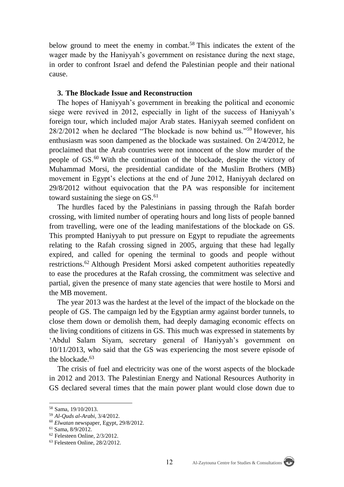below ground to meet the enemy in combat.<sup>58</sup> This indicates the extent of the wager made by the Haniyyah's government on resistance during the next stage, in order to confront Israel and defend the Palestinian people and their national cause.

## **3. The Blockade Issue and Reconstruction**

The hopes of Haniyyah's government in breaking the political and economic siege were revived in 2012, especially in light of the success of Haniyyah's foreign tour, which included major Arab states. Haniyyah seemed confident on 28/2/2012 when he declared "The blockade is now behind us."<sup>59</sup> However, his enthusiasm was soon dampened as the blockade was sustained. On 2/4/2012, he proclaimed that the Arab countries were not innocent of the slow murder of the people of GS.<sup>60</sup> With the continuation of the blockade, despite the victory of Muhammad Morsi, the presidential candidate of the Muslim Brothers (MB) movement in Egypt's elections at the end of June 2012, Haniyyah declared on 29/8/2012 without equivocation that the PA was responsible for incitement toward sustaining the siege on  $GS$ .<sup>61</sup>

The hurdles faced by the Palestinians in passing through the Rafah border crossing, with limited number of operating hours and long lists of people banned from travelling, were one of the leading manifestations of the blockade on GS. This prompted Haniyyah to put pressure on Egypt to repudiate the agreements relating to the Rafah crossing signed in 2005, arguing that these had legally expired, and called for opening the terminal to goods and people without restrictions.<sup>62</sup> Although President Morsi asked competent authorities repeatedly to ease the procedures at the Rafah crossing, the commitment was selective and partial, given the presence of many state agencies that were hostile to Morsi and the MB movement.

The year 2013 was the hardest at the level of the impact of the blockade on the people of GS. The campaign led by the Egyptian army against border tunnels, to close them down or demolish them, had deeply damaging economic effects on the living conditions of citizens in GS. This much was expressed in statements by 'Abdul Salam Siyam, secretary general of Haniyyah's government on 10/11/2013, who said that the GS was experiencing the most severe episode of the blockade.<sup>63</sup>

The crisis of fuel and electricity was one of the worst aspects of the blockade in 2012 and 2013. The Palestinian Energy and National Resources Authority in GS declared several times that the main power plant would close down due to



<sup>58</sup> Sama, 19/10/2013.

<sup>59</sup> *Al-Quds al-Arabi*, 3/4/2012.

<sup>60</sup> *Elwatan* newspaper, Egypt, 29/8/2012.

<sup>61</sup> Sama, 8/9/2012.

<sup>62</sup> Felesteen Online, 2/3/2012.

<sup>63</sup> Felesteen Online, 28/2/2012.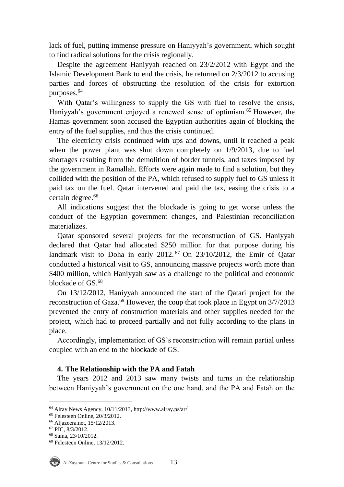lack of fuel, putting immense pressure on Haniyyah's government, which sought to find radical solutions for the crisis regionally.

Despite the agreement Haniyyah reached on 23/2/2012 with Egypt and the Islamic Development Bank to end the crisis, he returned on 2/3/2012 to accusing parties and forces of obstructing the resolution of the crisis for extortion purposes.<sup>64</sup>

With Qatar's willingness to supply the GS with fuel to resolve the crisis, Haniyyah's government enjoyed a renewed sense of optimism.<sup>65</sup> However, the Hamas government soon accused the Egyptian authorities again of blocking the entry of the fuel supplies, and thus the crisis continued.

The electricity crisis continued with ups and downs, until it reached a peak when the power plant was shut down completely on 1/9/2013, due to fuel shortages resulting from the demolition of border tunnels, and taxes imposed by the government in Ramallah. Efforts were again made to find a solution, but they collided with the position of the PA, which refused to supply fuel to GS unless it paid tax on the fuel. Qatar intervened and paid the tax, easing the crisis to a certain degree.<sup>66</sup>

All indications suggest that the blockade is going to get worse unless the conduct of the Egyptian government changes, and Palestinian reconciliation materializes.

Qatar sponsored several projects for the reconstruction of GS. Haniyyah declared that Qatar had allocated \$250 million for that purpose during his landmark visit to Doha in early  $2012<sup>67</sup>$  On  $23/10/2012$ , the Emir of Qatar conducted a historical visit to GS, announcing massive projects worth more than \$400 million, which Haniyyah saw as a challenge to the political and economic blockade of GS.<sup>68</sup>

On 13/12/2012, Haniyyah announced the start of the Qatari project for the reconstruction of Gaza.<sup>69</sup> However, the coup that took place in Egypt on  $3/7/2013$ prevented the entry of construction materials and other supplies needed for the project, which had to proceed partially and not fully according to the plans in place.

Accordingly, implementation of GS's reconstruction will remain partial unless coupled with an end to the blockade of GS.

## **4. The Relationship with the PA and Fatah**

The years 2012 and 2013 saw many twists and turns in the relationship between Haniyyah's government on the one hand, and the PA and Fatah on the

<sup>69</sup> Felesteen Online, 13/12/2012.



 $\overline{a}$ 

 $64$  Alray News Agency, 10/11/2013, http://www.alray.ps/ar/

<sup>65</sup> Felesteen Online, 20/3/2012.

<sup>66</sup> Aljazeera.net, 15/12/2013.

<sup>67</sup> PIC, 8/3/2012.

<sup>68</sup> Sama, 23/10/2012.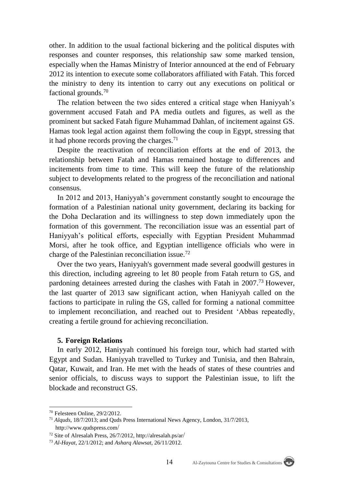other. In addition to the usual factional bickering and the political disputes with responses and counter responses, this relationship saw some marked tension, especially when the Hamas Ministry of Interior announced at the end of February 2012 its intention to execute some collaborators affiliated with Fatah. This forced the ministry to deny its intention to carry out any executions on political or factional grounds.<sup>70</sup>

The relation between the two sides entered a critical stage when Haniyyah's government accused Fatah and PA media outlets and figures, as well as the prominent but sacked Fatah figure Muhammad Dahlan, of incitement against GS. Hamas took legal action against them following the coup in Egypt, stressing that it had phone records proving the charges. $71$ 

Despite the reactivation of reconciliation efforts at the end of 2013, the relationship between Fatah and Hamas remained hostage to differences and incitements from time to time. This will keep the future of the relationship subject to developments related to the progress of the reconciliation and national consensus.

In 2012 and 2013, Haniyyah's government constantly sought to encourage the formation of a Palestinian national unity government, declaring its backing for the Doha Declaration and its willingness to step down immediately upon the formation of this government. The reconciliation issue was an essential part of Haniyyah's political efforts, especially with Egyptian President Muhammad Morsi, after he took office, and Egyptian intelligence officials who were in charge of the Palestinian reconciliation issue.<sup>72</sup>

Over the two years, Haniyyah's government made several goodwill gestures in this direction, including agreeing to let 80 people from Fatah return to GS, and pardoning detainees arrested during the clashes with Fatah in 2007.<sup>73</sup> However, the last quarter of 2013 saw significant action, when Haniyyah called on the factions to participate in ruling the GS, called for forming a national committee to implement reconciliation, and reached out to President 'Abbas repeatedly, creating a fertile ground for achieving reconciliation.

#### **5. Foreign Relations**

In early 2012, Haniyyah continued his foreign tour, which had started with Egypt and Sudan. Haniyyah travelled to Turkey and Tunisia, and then Bahrain, Qatar, Kuwait, and Iran. He met with the heads of states of these countries and senior officials, to discuss ways to support the Palestinian issue, to lift the blockade and reconstruct GS.

<sup>70</sup> Felesteen Online, 29/2/2012.

<sup>71</sup> *Alquds*, 18/7/2013; and Quds Press International News Agency, London, 31/7/2013, [http://www.qudspress.com](http://www.qudspress.com/)/

<sup>72</sup> Site of Alresalah Press, 26/7/2012, [http://alresalah.ps/ar](http://alresalah.ps/ar/)/

<sup>73</sup> *Al-Hayat*, 22/1/2012; and *Asharq Alawsat*, 26/11/2012.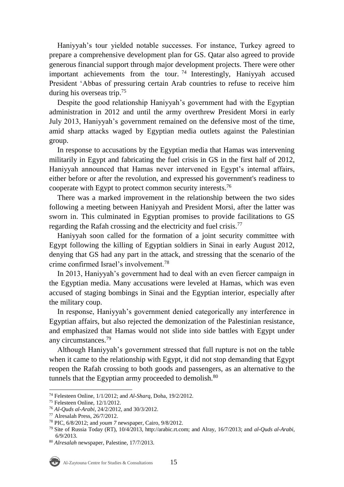Haniyyah's tour yielded notable successes. For instance, Turkey agreed to prepare a comprehensive development plan for GS. Qatar also agreed to provide generous financial support through major development projects. There were other important achievements from the tour.<sup>74</sup> Interestingly, Haniyyah accused President 'Abbas of pressuring certain Arab countries to refuse to receive him during his overseas trip.<sup>75</sup>

Despite the good relationship Haniyyah's government had with the Egyptian administration in 2012 and until the army overthrew President Morsi in early July 2013, Haniyyah's government remained on the defensive most of the time, amid sharp attacks waged by Egyptian media outlets against the Palestinian group.

In response to accusations by the Egyptian media that Hamas was intervening militarily in Egypt and fabricating the fuel crisis in GS in the first half of 2012, Haniyyah announced that Hamas never intervened in Egypt's internal affairs, either before or after the revolution, and expressed his government's readiness to cooperate with Egypt to protect common security interests.<sup>76</sup>

There was a marked improvement in the relationship between the two sides following a meeting between Haniyyah and President Morsi, after the latter was sworn in. This culminated in Egyptian promises to provide facilitations to GS regarding the Rafah crossing and the electricity and fuel crisis.<sup>77</sup>

Haniyyah soon called for the formation of a joint security committee with Egypt following the killing of Egyptian soldiers in Sinai in early August 2012, denying that GS had any part in the attack, and stressing that the scenario of the crime confirmed Israel's involvement.<sup>78</sup>

In 2013, Haniyyah's government had to deal with an even fiercer campaign in the Egyptian media. Many accusations were leveled at Hamas, which was even accused of staging bombings in Sinai and the Egyptian interior, especially after the military coup.

In response, Haniyyah's government denied categorically any interference in Egyptian affairs, but also rejected the demonization of the Palestinian resistance, and emphasized that Hamas would not slide into side battles with Egypt under any circumstances.<sup>79</sup>

Although Haniyyah's government stressed that full rupture is not on the table when it came to the relationship with Egypt, it did not stop demanding that Egypt reopen the Rafah crossing to both goods and passengers, as an alternative to the tunnels that the Egyptian army proceeded to demolish.<sup>80</sup>

 $\overline{a}$ <sup>74</sup> Felesteen Online, 1/1/2012; and *Al-Sharq*, Doha, 19/2/2012.

<sup>75</sup> Felesteen Online, 12/1/2012.

<sup>76</sup> *Al-Quds al-Arabi*, 24/2/2012, and 30/3/2012.

<sup>77</sup> Alresalah Press, 26/7/2012.

<sup>78</sup> PIC, 6/8/2012; and *youm 7* newspaper, Cairo, 9/8/2012.

<sup>79</sup> Site of Russia Today (RT), 10/4/2013, [http://arabic.rt.com;](http://arabic.rt.com/) and Alray, 16/7/2013; and *al-Quds al-Arabi*, 6/9/2013.

<sup>80</sup> *Alresalah* newspaper, Palestine, 17/7/2013.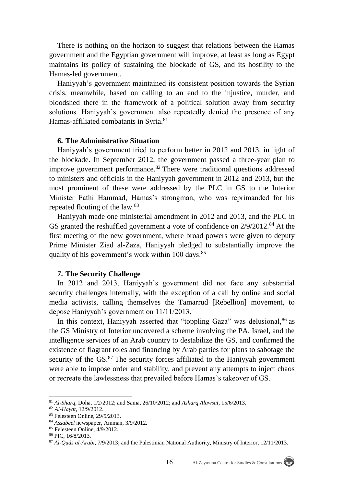There is nothing on the horizon to suggest that relations between the Hamas government and the Egyptian government will improve, at least as long as Egypt maintains its policy of sustaining the blockade of GS, and its hostility to the Hamas-led government.

Haniyyah's government maintained its consistent position towards the Syrian crisis, meanwhile, based on calling to an end to the injustice, murder, and bloodshed there in the framework of a political solution away from security solutions. Haniyyah's government also repeatedly denied the presence of any Hamas-affiliated combatants in Syria.<sup>81</sup>

#### **6. The Administrative Situation**

Haniyyah's government tried to perform better in 2012 and 2013, in light of the blockade. In September 2012, the government passed a three-year plan to improve government performance.<sup>82</sup> There were traditional questions addressed to ministers and officials in the Haniyyah government in 2012 and 2013, but the most prominent of these were addressed by the PLC in GS to the Interior Minister Fathi Hammad, Hamas's strongman, who was reprimanded for his repeated flouting of the law.<sup>83</sup>

Haniyyah made one ministerial amendment in 2012 and 2013, and the PLC in GS granted the reshuffled government a vote of confidence on  $2/9/2012$ .<sup>84</sup> At the first meeting of the new government, where broad powers were given to deputy Prime Minister Ziad al-Zaza, Haniyyah pledged to substantially improve the quality of his government's work within 100 days.<sup>85</sup>

#### **7. The Security Challenge**

In 2012 and 2013, Haniyyah's government did not face any substantial security challenges internally, with the exception of a call by online and social media activists, calling themselves the Tamarrud [Rebellion] movement, to depose Haniyyah's government on 11/11/2013.

In this context, Haniyyah asserted that "toppling Gaza" was delusional, 86 as the GS Ministry of Interior uncovered a scheme involving the PA, Israel, and the intelligence services of an Arab country to destabilize the GS, and confirmed the existence of flagrant roles and financing by Arab parties for plans to sabotage the security of the GS.<sup>87</sup> The security forces affiliated to the Haniyyah government were able to impose order and stability, and prevent any attempts to inject chaos or recreate the lawlessness that prevailed before Hamas's takeover of GS.



<sup>81</sup> *Al-Sharq*, Doha, 1/2/2012; and Sama, 26/10/2012; and *Asharq Alawsat*, 15/6/2013.

<sup>82</sup> *Al-Hayat*, 12/9/2012.

<sup>83</sup> Felesteen Online, 29/5/2013.

<sup>84</sup> *Assabeel* newspaper, Amman, 3/9/2012.

<sup>85</sup> Felesteen Online, 4/9/2012.

<sup>86</sup> PIC, 16/8/2013.

<sup>87</sup> *Al-Quds al-Arabi*, 7/9/2013; and the Palestinian National Authority, Ministry of Interior, 12/11/2013.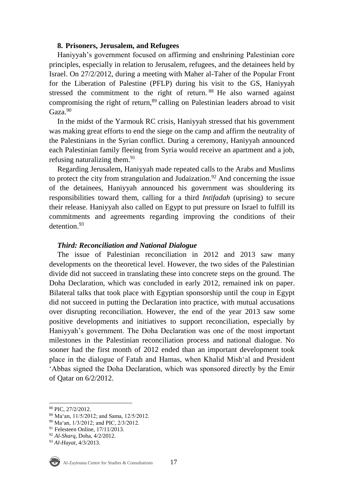## **8. Prisoners, Jerusalem, and Refugees**

Haniyyah's government focused on affirming and enshrining Palestinian core principles, especially in relation to Jerusalem, refugees, and the detainees held by Israel. On 27/2/2012, during a meeting with Maher al-Taher of the Popular Front for the Liberation of Palestine (PFLP) during his visit to the GS, Haniyyah stressed the commitment to the right of return. <sup>88</sup> He also warned against compromising the right of return,<sup>89</sup> calling on Palestinian leaders abroad to visit Gaza.<sup>90</sup>

In the midst of the Yarmouk RC crisis, Haniyyah stressed that his government was making great efforts to end the siege on the camp and affirm the neutrality of the Palestinians in the Syrian conflict. During a ceremony, Haniyyah announced each Palestinian family fleeing from Syria would receive an apartment and a job, refusing naturalizing them.<sup>91</sup>

Regarding Jerusalem, Haniyyah made repeated calls to the Arabs and Muslims to protect the city from strangulation and Judaization.<sup>92</sup> And concerning the issue of the detainees, Haniyyah announced his government was shouldering its responsibilities toward them, calling for a third *Intifadah* (uprising) to secure their release. Haniyyah also called on Egypt to put pressure on Israel to fulfill its commitments and agreements regarding improving the conditions of their detention<sup>93</sup>

## *Third: Reconciliation and National Dialogue*

The issue of Palestinian reconciliation in 2012 and 2013 saw many developments on the theoretical level. However, the two sides of the Palestinian divide did not succeed in translating these into concrete steps on the ground. The Doha Declaration, which was concluded in early 2012, remained ink on paper. Bilateral talks that took place with Egyptian sponsorship until the coup in Egypt did not succeed in putting the Declaration into practice, with mutual accusations over disrupting reconciliation. However, the end of the year 2013 saw some positive developments and initiatives to support reconciliation, especially by Haniyyah's government. The Doha Declaration was one of the most important milestones in the Palestinian reconciliation process and national dialogue. No sooner had the first month of 2012 ended than an important development took place in the dialogue of Fatah and Hamas, when Khalid Mish'al and President 'Abbas signed the Doha Declaration, which was sponsored directly by the Emir of Qatar on 6/2/2012.

<sup>93</sup> *Al-Hayat*, 4/3/2013.



<sup>88</sup> PIC, 27/2/2012.

<sup>89</sup> Ma'an, 11/5/2012; and Sama, 12/5/2012.

<sup>90</sup> Ma'an, 1/3/2012; and PIC, 2/3/2012.

<sup>&</sup>lt;sup>91</sup> Felesteen Online, 17/11/2013.

<sup>92</sup> *Al-Sharq*, Doha, 4/2/2012.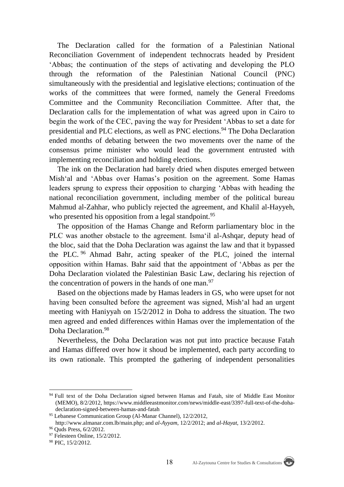The Declaration called for the formation of a Palestinian National Reconciliation Government of independent technocrats headed by President 'Abbas; the continuation of the steps of activating and developing the PLO through the reformation of the Palestinian National Council (PNC) simultaneously with the presidential and legislative elections; continuation of the works of the committees that were formed, namely the General Freedoms Committee and the Community Reconciliation Committee. After that, the Declaration calls for the implementation of what was agreed upon in Cairo to begin the work of the CEC, paving the way for President 'Abbas to set a date for presidential and PLC elections, as well as PNC elections.<sup>94</sup> The Doha Declaration ended months of debating between the two movements over the name of the consensus prime minister who would lead the government entrusted with implementing reconciliation and holding elections.

The ink on the Declaration had barely dried when disputes emerged between Mish'al and 'Abbas over Hamas's position on the agreement. Some Hamas leaders sprung to express their opposition to charging 'Abbas with heading the national reconciliation government, including member of the political bureau Mahmud al-Zahhar, who publicly rejected the agreement, and Khalil al-Hayyeh, who presented his opposition from a legal standpoint.<sup>95</sup>

The opposition of the Hamas Change and Reform parliamentary bloc in the PLC was another obstacle to the agreement. Isma'il al-Ashqar, deputy head of the bloc, said that the Doha Declaration was against the law and that it bypassed the PLC. <sup>96</sup> Ahmad Bahr, acting speaker of the PLC, joined the internal opposition within Hamas. Bahr said that the appointment of 'Abbas as per the Doha Declaration violated the Palestinian Basic Law, declaring his rejection of the concentration of powers in the hands of one man. $97$ 

Based on the objections made by Hamas leaders in GS, who were upset for not having been consulted before the agreement was signed, Mish'al had an urgent meeting with Haniyyah on 15/2/2012 in Doha to address the situation. The two men agreed and ended differences within Hamas over the implementation of the Doha Declaration.<sup>98</sup>

Nevertheless, the Doha Declaration was not put into practice because Fatah and Hamas differed over how it shoud be implemented, each party according to its own rationale. This prompted the gathering of independent personalities

 $\overline{a}$ 

<sup>94</sup> Full text of the Doha Declaration signed between Hamas and Fatah, site of Middle East Monitor (MEMO), 8/2/2012, [https://www.middleeastmonitor.com/news/middle-east/3397-full-text-of-the-doha](https://www.middleeastmonitor.com/news/middle-east/3397-full-text-of-the-doha-declaration-signed-between-hamas-and-fatah)[declaration-signed-between-hamas-and-fatah](https://www.middleeastmonitor.com/news/middle-east/3397-full-text-of-the-doha-declaration-signed-between-hamas-and-fatah)

<sup>95</sup> Lebanese Communication Group (Al-Manar Channel), 12/2/2012, [http://www.almanar.com.lb/main.php;](http://www.almanar.com.lb/main.php) and *al-Ayyam*, 12/2/2012; and *al-Hayat*, 13/2/2012.

<sup>96</sup> Quds Press, 6/2/2012.

<sup>97</sup> Felesteen Online, 15/2/2012.

<sup>98</sup> PIC, 15/2/2012.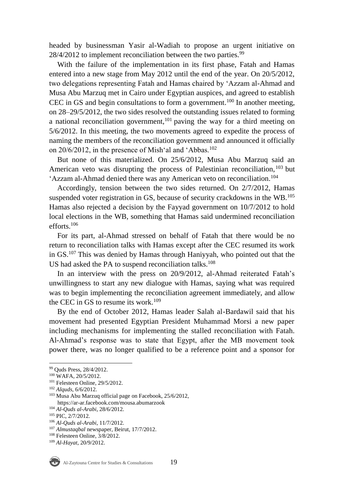headed by businessman Yasir al-Wadiah to propose an urgent initiative on  $28/4/2012$  to implement reconciliation between the two parties.<sup>99</sup>

With the failure of the implementation in its first phase, Fatah and Hamas entered into a new stage from May 2012 until the end of the year. On 20/5/2012, two delegations representing Fatah and Hamas chaired by 'Azzam al-Ahmad and Musa Abu Marzuq met in Cairo under Egyptian auspices, and agreed to establish CEC in GS and begin consultations to form a government.<sup>100</sup> In another meeting, on 28–29/5/2012, the two sides resolved the outstanding issues related to forming a national reconciliation government,<sup>101</sup> paving the way for a third meeting on 5/6/2012. In this meeting, the two movements agreed to expedite the process of naming the members of the reconciliation government and announced it officially on  $20/6/2012$ , in the presence of Mish'al and 'Abbas.<sup>102</sup>

But none of this materialized. On 25/6/2012, Musa Abu Marzuq said an American veto was disrupting the process of Palestinian reconciliation,<sup>103</sup> but 'Azzam al-Ahmad denied there was any American veto on reconciliation.<sup>104</sup>

Accordingly, tension between the two sides returned. On 2/7/2012, Hamas suspended voter registration in GS, because of security crackdowns in the WB.<sup>105</sup> Hamas also rejected a decision by the Fayyad government on 10/7/2012 to hold local elections in the WB, something that Hamas said undermined reconciliation efforts.<sup>106</sup>

For its part, al-Ahmad stressed on behalf of Fatah that there would be no return to reconciliation talks with Hamas except after the CEC resumed its work in GS.<sup>107</sup> This was denied by Hamas through Haniyyah, who pointed out that the US had asked the PA to suspend reconciliation talks.<sup>108</sup>

In an interview with the press on 20/9/2012, al-Ahmad reiterated Fatah's unwillingness to start any new dialogue with Hamas, saying what was required was to begin implementing the reconciliation agreement immediately, and allow the CEC in GS to resume its work.<sup>109</sup>

By the end of October 2012, Hamas leader Salah al-Bardawil said that his movement had presented Egyptian President Muhammad Morsi a new paper including mechanisms for implementing the stalled reconciliation with Fatah. Al-Ahmad's response was to state that Egypt, after the MB movement took power there, was no longer qualified to be a reference point and a sponsor for

<sup>109</sup> *Al-Hayat*, 20/9/2012.



<sup>99</sup> Quds Press, 28/4/2012.

<sup>100</sup> WAFA, 20/5/2012.

<sup>101</sup> Felesteen Online, 29/5/2012.

<sup>102</sup> *Alquds*, 6/6/2012.

<sup>103</sup> Musa Abu Marzuq official page on Facebook, 25/6/2012, https://ar-ar.facebook.com/mousa.abumarzook

<sup>104</sup> *Al-Quds al-Arabi*, 28/6/2012.

<sup>105</sup> PIC, 2/7/2012.

<sup>106</sup> *Al-Quds al-Arabi*, 11/7/2012.

<sup>107</sup> *Almustaqbal* newspaper, Beirut, 17/7/2012.

<sup>108</sup> Felesteen Online, 3/8/2012.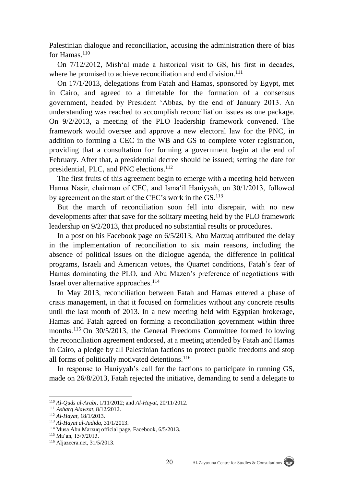Palestinian dialogue and reconciliation, accusing the administration there of bias for Hamas.<sup>110</sup>

On 7/12/2012, Mish'al made a historical visit to GS, his first in decades, where he promised to achieve reconciliation and end division.<sup>111</sup>

On 17/1/2013, delegations from Fatah and Hamas, sponsored by Egypt, met in Cairo, and agreed to a timetable for the formation of a consensus government, headed by President 'Abbas, by the end of January 2013. An understanding was reached to accomplish reconciliation issues as one package. On 9/2/2013, a meeting of the PLO leadership framework convened. The framework would oversee and approve a new electoral law for the PNC, in addition to forming a CEC in the WB and GS to complete voter registration, providing that a consultation for forming a government begin at the end of February. After that, a presidential decree should be issued; setting the date for presidential, PLC, and PNC elections.<sup>112</sup>

The first fruits of this agreement begin to emerge with a meeting held between Hanna Nasir, chairman of CEC, and Isma'il Haniyyah, on 30/1/2013, followed by agreement on the start of the CEC's work in the GS.<sup>113</sup>

But the march of reconciliation soon fell into disrepair, with no new developments after that save for the solitary meeting held by the PLO framework leadership on 9/2/2013, that produced no substantial results or procedures.

In a post on his Facebook page on 6/5/2013, Abu Marzuq attributed the delay in the implementation of reconciliation to six main reasons, including the absence of political issues on the dialogue agenda, the difference in political programs, Israeli and American vetoes, the Quartet conditions, Fatah's fear of Hamas dominating the PLO, and Abu Mazen's preference of negotiations with Israel over alternative approaches.<sup>114</sup>

In May 2013, reconciliation between Fatah and Hamas entered a phase of crisis management, in that it focused on formalities without any concrete results until the last month of 2013. In a new meeting held with Egyptian brokerage, Hamas and Fatah agreed on forming a reconciliation government within three months.<sup>115</sup> On 30/5/2013, the General Freedoms Committee formed following the reconciliation agreement endorsed, at a meeting attended by Fatah and Hamas in Cairo, a pledge by all Palestinian factions to protect public freedoms and stop all forms of politically motivated detentions.<sup>116</sup>

In response to Haniyyah's call for the factions to participate in running GS, made on 26/8/2013, Fatah rejected the initiative, demanding to send a delegate to



<sup>110</sup> *Al-Quds al-Arabi*, 1/11/2012; and *Al-Hayat*, 20/11/2012.

<sup>111</sup> *Asharq Alawsat*, 8/12/2012.

<sup>112</sup> *Al-Hayat*, 18/1/2013.

<sup>113</sup> *Al-Hayat al-Jadida*, 31/1/2013.

<sup>114</sup> Musa Abu Marzuq official page, Facebook, 6/5/2013.

<sup>115</sup> Ma'an, 15/5/2013.

<sup>116</sup> Aljazeera.net, 31/5/2013.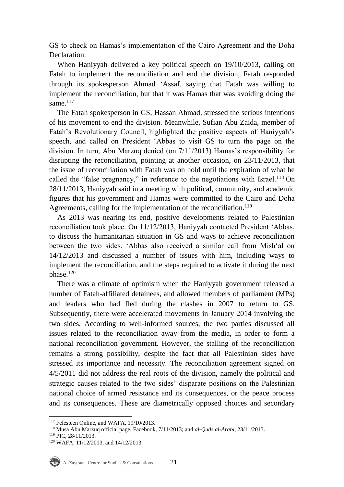GS to check on Hamas's implementation of the Cairo Agreement and the Doha Declaration.

When Haniyyah delivered a key political speech on 19/10/2013, calling on Fatah to implement the reconciliation and end the division, Fatah responded through its spokesperson Ahmad 'Assaf, saying that Fatah was willing to implement the reconciliation, but that it was Hamas that was avoiding doing the same. $117$ 

The Fatah spokesperson in GS, Hassan Ahmad, stressed the serious intentions of his movement to end the division. Meanwhile, Sufian Abu Zaida, member of Fatah's Revolutionary Council, highlighted the positive aspects of Haniyyah's speech, and called on President 'Abbas to visit GS to turn the page on the division. In turn, Abu Marzuq denied (on 7/11/2013) Hamas's responsibility for disrupting the reconciliation, pointing at another occasion, on 23/11/2013, that the issue of reconciliation with Fatah was on hold until the expiration of what he called the "false pregnancy," in reference to the negotiations with Israel.<sup>118</sup> On 28/11/2013, Haniyyah said in a meeting with political, community, and academic figures that his government and Hamas were committed to the Cairo and Doha Agreements, calling for the implementation of the reconciliation.<sup>119</sup>

As 2013 was nearing its end, positive developments related to Palestinian reconciliation took place. On 11/12/2013, Haniyyah contacted President 'Abbas, to discuss the humanitarian situation in GS and ways to achieve reconciliation between the two sides. 'Abbas also received a similar call from Mish'al on 14/12/2013 and discussed a number of issues with him, including ways to implement the reconciliation, and the steps required to activate it during the next phase.<sup>120</sup>

There was a climate of optimism when the Haniyyah government released a number of Fatah-affiliated detainees, and allowed members of parliament (MPs) and leaders who had fled during the clashes in 2007 to return to GS. Subsequently, there were accelerated movements in January 2014 involving the two sides. According to well-informed sources, the two parties discussed all issues related to the reconciliation away from the media, in order to form a national reconciliation government. However, the stalling of the reconciliation remains a strong possibility, despite the fact that all Palestinian sides have stressed its importance and necessity. The reconciliation agreement signed on 4/5/2011 did not address the real roots of the division, namely the political and strategic causes related to the two sides' disparate positions on the Palestinian national choice of armed resistance and its consequences, or the peace process and its consequences. These are diametrically opposed choices and secondary

<sup>120</sup> WAFA, 11/12/2013, and 14/12/2013.



<sup>&</sup>lt;sup>117</sup> Felesteen Online, and WAFA, 19/10/2013.

<sup>118</sup> Musa Abu Marzuq official page, Facebook, 7/11/2013; and *al-Quds al-Arabi*, 23/11/2013.

<sup>119</sup> PIC, 28/11/2013.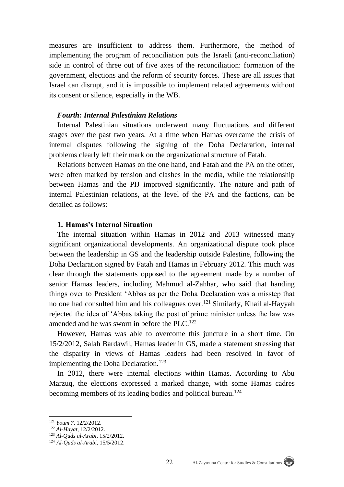measures are insufficient to address them. Furthermore, the method of implementing the program of reconciliation puts the Israeli (anti-reconciliation) side in control of three out of five axes of the reconciliation: formation of the government, elections and the reform of security forces. These are all issues that Israel can disrupt, and it is impossible to implement related agreements without its consent or silence, especially in the WB.

## *Fourth: Internal Palestinian Relations*

Internal Palestinian situations underwent many fluctuations and different stages over the past two years. At a time when Hamas overcame the crisis of internal disputes following the signing of the Doha Declaration, internal problems clearly left their mark on the organizational structure of Fatah.

Relations between Hamas on the one hand, and Fatah and the PA on the other, were often marked by tension and clashes in the media, while the relationship between Hamas and the PIJ improved significantly. The nature and path of internal Palestinian relations, at the level of the PA and the factions, can be detailed as follows:

## **1. Hamas's Internal Situation**

The internal situation within Hamas in 2012 and 2013 witnessed many significant organizational developments. An organizational dispute took place between the leadership in GS and the leadership outside Palestine, following the Doha Declaration signed by Fatah and Hamas in February 2012. This much was clear through the statements opposed to the agreement made by a number of senior Hamas leaders, including Mahmud al-Zahhar, who said that handing things over to President 'Abbas as per the Doha Declaration was a misstep that no one had consulted him and his colleagues over.<sup>121</sup> Similarly, Khail al-Hayyah rejected the idea of 'Abbas taking the post of prime minister unless the law was amended and he was sworn in before the PLC.<sup>122</sup>

However, Hamas was able to overcome this juncture in a short time. On 15/2/2012, Salah Bardawil, Hamas leader in GS, made a statement stressing that the disparity in views of Hamas leaders had been resolved in favor of implementing the Doha Declaration.<sup>123</sup>

In 2012, there were internal elections within Hamas. According to Abu Marzuq, the elections expressed a marked change, with some Hamas cadres becoming members of its leading bodies and political bureau.<sup>124</sup>



<sup>121</sup> *Youm 7*, 12/2/2012.

<sup>122</sup> *Al-Hayat*, 12/2/2012.

<sup>123</sup> *Al-Quds al-Arabi*, 15/2/2012.

<sup>124</sup> *Al-Quds al-Arabi*, 15/5/2012.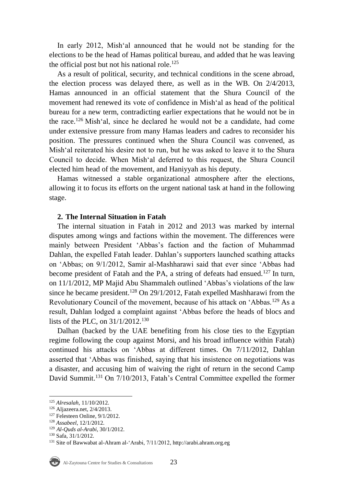In early 2012, Mish'al announced that he would not be standing for the elections to be the head of Hamas political bureau, and added that he was leaving the official post but not his national role.<sup>125</sup>

As a result of political, security, and technical conditions in the scene abroad, the election process was delayed there, as well as in the WB. On 2/4/2013, Hamas announced in an official statement that the Shura Council of the movement had renewed its vote of confidence in Mish'al as head of the political bureau for a new term, contradicting earlier expectations that he would not be in the race.<sup>126</sup> Mish'al, since he declared he would not be a candidate, had come under extensive pressure from many Hamas leaders and cadres to reconsider his position. The pressures continued when the Shura Council was convened, as Mish'al reiterated his desire not to run, but he was asked to leave it to the Shura Council to decide. When Mish'al deferred to this request, the Shura Council elected him head of the movement, and Haniyyah as his deputy.

Hamas witnessed a stable organizational atmosphere after the elections, allowing it to focus its efforts on the urgent national task at hand in the following stage.

## **2. The Internal Situation in Fatah**

The internal situation in Fatah in 2012 and 2013 was marked by internal disputes among wings and factions within the movement. The differences were mainly between President 'Abbas's faction and the faction of Muhammad Dahlan, the expelled Fatah leader. Dahlan's supporters launched scathing attacks on 'Abbas; on 9/1/2012, Samir al-Mashharawi said that ever since 'Abbas had become president of Fatah and the PA, a string of defeats had ensued.<sup>127</sup> In turn, on 11/1/2012, MP Majid Abu Shammaleh outlined 'Abbas's violations of the law since he became president.<sup>128</sup> On 29/1/2012, Fatah expelled Mashharawi from the Revolutionary Council of the movement, because of his attack on 'Abbas.<sup>129</sup> As a result, Dahlan lodged a complaint against 'Abbas before the heads of blocs and lists of the PLC, on 31/1/2012.<sup>130</sup>

Dalhan (backed by the UAE benefiting from his close ties to the Egyptian regime following the coup against Morsi, and his broad influence within Fatah) continued his attacks on 'Abbas at different times. On 7/11/2012, Dahlan asserted that 'Abbas was finished, saying that his insistence on negotiations was a disaster, and accusing him of waiving the right of return in the second Camp David Summit.<sup>131</sup> On 7/10/2013, Fatah's Central Committee expelled the former

<sup>131</sup> Site of Bawwabat al-Ahram al-'Arabi, 7/11/2012, [http://arabi.ahram.org.eg](http://arabi.ahram.org.eg/)



<sup>125</sup> *Alresalah*, 11/10/2012.

<sup>126</sup> Aljazeera.net, 2/4/2013.

<sup>127</sup> Felesteen Online, 9/1/2012.

<sup>128</sup> *Assabeel*, 12/1/2012.

<sup>129</sup> *Al-Quds al-Arabi*, 30/1/2012.

<sup>130</sup> Safa, 31/1/2012.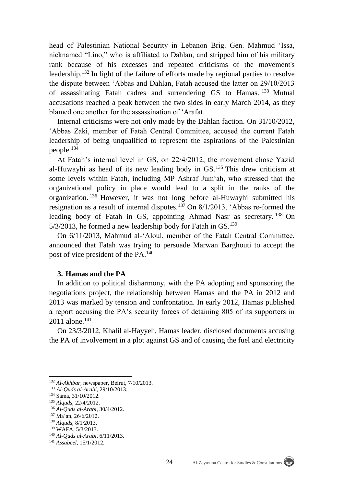head of Palestinian National Security in Lebanon Brig. Gen. Mahmud 'Issa, nicknamed "Lino," who is affiliated to Dahlan, and stripped him of his military rank because of his excesses and repeated criticisms of the movement's leadership.<sup>132</sup> In light of the failure of efforts made by regional parties to resolve the dispute between 'Abbas and Dahlan, Fatah accused the latter on 29/10/2013 of assassinating Fatah cadres and surrendering GS to Hamas. <sup>133</sup> Mutual accusations reached a peak between the two sides in early March 2014, as they blamed one another for the assassination of 'Arafat.

Internal criticisms were not only made by the Dahlan faction. On 31/10/2012, 'Abbas Zaki, member of Fatah Central Committee, accused the current Fatah leadership of being unqualified to represent the aspirations of the Palestinian people.<sup>134</sup>

At Fatah's internal level in GS, on 22/4/2012, the movement chose Yazid al-Huwayhi as head of its new leading body in GS.<sup>135</sup> This drew criticism at some levels within Fatah, including MP Ashraf Jum'ah, who stressed that the organizational policy in place would lead to a split in the ranks of the organization. <sup>136</sup> However, it was not long before al-Huwayhi submitted his resignation as a result of internal disputes.<sup>137</sup> On 8/1/2013, 'Abbas re-formed the leading body of Fatah in GS, appointing Ahmad Nasr as secretary. <sup>138</sup> On  $5/3/2013$ , he formed a new leadership body for Fatah in GS.<sup>139</sup>

On 6/11/2013, Mahmud al-'Aloul, member of the Fatah Central Committee, announced that Fatah was trying to persuade Marwan Barghouti to accept the post of vice president of the PA.<sup>140</sup>

#### **3. Hamas and the PA**

In addition to political disharmony, with the PA adopting and sponsoring the negotiations project, the relationship between Hamas and the PA in 2012 and 2013 was marked by tension and confrontation. In early 2012, Hamas published a report accusing the PA's security forces of detaining 805 of its supporters in 2011 alone.<sup>141</sup>

On 23/3/2012, Khalil al-Hayyeh, Hamas leader, disclosed documents accusing the PA of involvement in a plot against GS and of causing the fuel and electricity

<sup>132</sup> *Al-Akhbar*, newspaper, Beirut, 7/10/2013.

<sup>133</sup> *Al-Quds al-Arabi*, 29/10/2013.

<sup>134</sup> Sama, 31/10/2012.

<sup>135</sup> *Alquds*, 22/4/2012.

<sup>136</sup> *Al-Quds al-Arabi*, 30/4/2012.

<sup>137</sup> Ma'an, 26/6/2012.

<sup>138</sup> *Alquds*, 8/1/2013.

<sup>139</sup> WAFA, 5/3/2013.

<sup>140</sup> *Al-Quds al-Arabi*, 6/11/2013.

<sup>141</sup> *Assabeel*, 15/1/2012.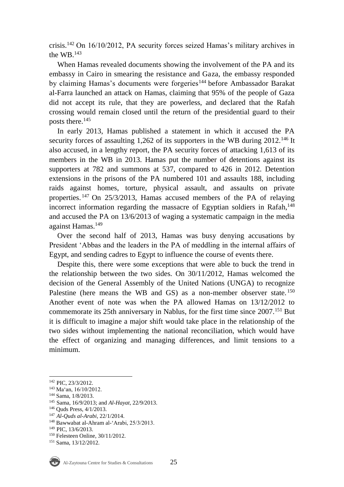crisis.<sup>142</sup> On 16/10/2012, PA security forces seized Hamas's military archives in the WB.<sup>143</sup>

When Hamas revealed documents showing the involvement of the PA and its embassy in Cairo in smearing the resistance and Gaza, the embassy responded by claiming Hamas's documents were forgeries<sup>144</sup> before Ambassador Barakat al-Farra launched an attack on Hamas, claiming that 95% of the people of Gaza did not accept its rule, that they are powerless, and declared that the Rafah crossing would remain closed until the return of the presidential guard to their posts there.<sup>145</sup>

In early 2013, Hamas published a statement in which it accused the PA security forces of assaulting 1,262 of its supporters in the WB during 2012.<sup>146</sup> It also accused, in a lengthy report, the PA security forces of attacking 1,613 of its members in the WB in 2013. Hamas put the number of detentions against its supporters at 782 and summons at 537, compared to 426 in 2012. Detention extensions in the prisons of the PA numbered 101 and assaults 188, including raids against homes, torture, physical assault, and assaults on private properties. <sup>147</sup> On 25/3/2013, Hamas accused members of the PA of relaying incorrect information regarding the massacre of Egyptian soldiers in Rafah,<sup>148</sup> and accused the PA on 13/6/2013 of waging a systematic campaign in the media against Hamas.<sup>149</sup>

Over the second half of 2013, Hamas was busy denying accusations by President 'Abbas and the leaders in the PA of meddling in the internal affairs of Egypt, and sending cadres to Egypt to influence the course of events there.

Despite this, there were some exceptions that were able to buck the trend in the relationship between the two sides. On 30/11/2012, Hamas welcomed the decision of the General Assembly of the United Nations (UNGA) to recognize Palestine (here means the WB and GS) as a non-member observer state. <sup>150</sup> Another event of note was when the PA allowed Hamas on 13/12/2012 to commemorate its 25th anniversary in Nablus, for the first time since 2007.<sup>151</sup> But it is difficult to imagine a major shift would take place in the relationship of the two sides without implementing the national reconciliation, which would have the effect of organizing and managing differences, and limit tensions to a minimum.

<sup>142</sup> PIC, 23/3/2012.

<sup>143</sup> Ma'an, 16/10/2012.

<sup>144</sup> Sama, 1/8/2013.

<sup>145</sup> Sama, 16/9/2013; and *Al-Hayat*, 22/9/2013.

<sup>146</sup> Quds Press, 4/1/2013.

<sup>147</sup> *Al-Quds al-Arabi*, 22/1/2014.

<sup>148</sup> Bawwabat al-Ahram al-'Arabi, 25/3/2013.

<sup>149</sup> PIC, 13/6/2013.

<sup>150</sup> Felesteen Online, 30/11/2012. <sup>151</sup> Sama, 13/12/2012.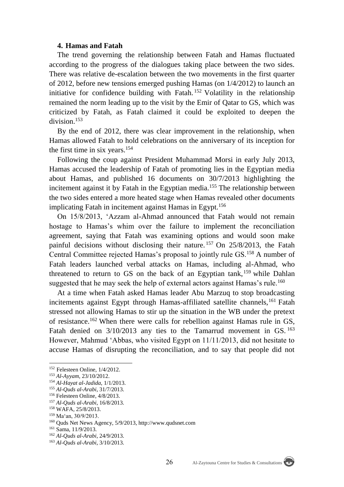#### **4. Hamas and Fatah**

The trend governing the relationship between Fatah and Hamas fluctuated according to the progress of the dialogues taking place between the two sides. There was relative de-escalation between the two movements in the first quarter of 2012, before new tensions emerged pushing Hamas (on 1/4/2012) to launch an initiative for confidence building with Fatah. <sup>152</sup> Volatility in the relationship remained the norm leading up to the visit by the Emir of Qatar to GS, which was criticized by Fatah, as Fatah claimed it could be exploited to deepen the division.<sup>153</sup>

By the end of 2012, there was clear improvement in the relationship, when Hamas allowed Fatah to hold celebrations on the anniversary of its inception for the first time in six years.<sup>154</sup>

Following the coup against President Muhammad Morsi in early July 2013, Hamas accused the leadership of Fatah of promoting lies in the Egyptian media about Hamas, and published 16 documents on 30/7/2013 highlighting the incitement against it by Fatah in the Egyptian media.<sup>155</sup> The relationship between the two sides entered a more heated stage when Hamas revealed other documents implicating Fatah in incitement against Hamas in Egypt.<sup>156</sup>

On 15/8/2013, 'Azzam al-Ahmad announced that Fatah would not remain hostage to Hamas's whim over the failure to implement the reconciliation agreement, saying that Fatah was examining options and would soon make painful decisions without disclosing their nature. <sup>157</sup> On 25/8/2013, the Fatah Central Committee rejected Hamas's proposal to jointly rule GS.<sup>158</sup> A number of Fatah leaders launched verbal attacks on Hamas, including al-Ahmad, who threatened to return to GS on the back of an Egyptian tank,<sup>159</sup> while Dahlan suggested that he may seek the help of external actors against Hamas's rule.<sup>160</sup>

At a time when Fatah asked Hamas leader Abu Marzuq to stop broadcasting incitements against Egypt through Hamas-affiliated satellite channels,<sup>161</sup> Fatah stressed not allowing Hamas to stir up the situation in the WB under the pretext of resistance.<sup>162</sup> When there were calls for rebellion against Hamas rule in GS, Fatah denied on  $3/10/2013$  any ties to the Tamarrud movement in GS. <sup>163</sup> However, Mahmud 'Abbas, who visited Egypt on 11/11/2013, did not hesitate to accuse Hamas of disrupting the reconciliation, and to say that people did not

<sup>152</sup> Felesteen Online, 1/4/2012.

<sup>153</sup> *Al-Ayyam*, 23/10/2012.

<sup>154</sup> *Al-Hayat al-Jadida*, 1/1/2013.

<sup>155</sup> *Al-Quds al-Arabi*, 31/7/2013.

<sup>156</sup> Felesteen Online, 4/8/2013.

<sup>157</sup> *Al-Quds al-Arabi*, 16/8/2013.

<sup>158</sup> WAFA, 25/8/2013.

<sup>159</sup> Ma'an, 30/9/2013.

<sup>160</sup> Quds Net News Agency, 5/9/2013, http://www.qudsnet.com

<sup>161</sup> Sama, 11/9/2013.

<sup>162</sup> *Al-Quds al-Arabi*, 24/9/2013.

<sup>163</sup> *Al-Quds al-Arabi*, 3/10/2013.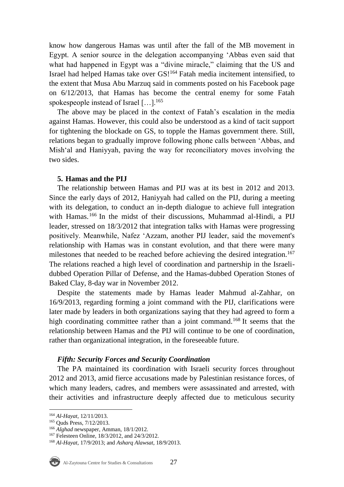know how dangerous Hamas was until after the fall of the MB movement in Egypt. A senior source in the delegation accompanying 'Abbas even said that what had happened in Egypt was a "divine miracle," claiming that the US and Israel had helped Hamas take over GS!<sup>164</sup> Fatah media incitement intensified, to the extent that Musa Abu Marzuq said in comments posted on his Facebook page on 6/12/2013, that Hamas has become the central enemy for some Fatah spokespeople instead of Israel [...].<sup>165</sup>

The above may be placed in the context of Fatah's escalation in the media against Hamas. However, this could also be understood as a kind of tacit support for tightening the blockade on GS, to topple the Hamas government there. Still, relations began to gradually improve following phone calls between 'Abbas, and Mish'al and Haniyyah, paving the way for reconciliatory moves involving the two sides.

#### **5. Hamas and the PIJ**

The relationship between Hamas and PIJ was at its best in 2012 and 2013. Since the early days of 2012, Haniyyah had called on the PIJ, during a meeting with its delegation, to conduct an in-depth dialogue to achieve full integration with Hamas.<sup>166</sup> In the midst of their discussions, Muhammad al-Hindi, a PIJ leader, stressed on 18/3/2012 that integration talks with Hamas were progressing positively. Meanwhile, Nafez 'Azzam, another PIJ leader, said the movement's relationship with Hamas was in constant evolution, and that there were many milestones that needed to be reached before achieving the desired integration.<sup>167</sup> The relations reached a high level of coordination and partnership in the Israelidubbed Operation Pillar of Defense, and the Hamas-dubbed Operation Stones of Baked Clay, 8-day war in November 2012.

Despite the statements made by Hamas leader Mahmud al-Zahhar, on 16/9/2013, regarding forming a joint command with the PIJ, clarifications were later made by leaders in both organizations saying that they had agreed to form a high coordinating committee rather than a joint command.<sup>168</sup> It seems that the relationship between Hamas and the PIJ will continue to be one of coordination, rather than organizational integration, in the foreseeable future.

## *Fifth: Security Forces and Security Coordination*

The PA maintained its coordination with Israeli security forces throughout 2012 and 2013, amid fierce accusations made by Palestinian resistance forces, of which many leaders, cadres, and members were assassinated and arrested, with their activities and infrastructure deeply affected due to meticulous security

<sup>164</sup> *Al-Hayat*, 12/11/2013.

<sup>165</sup> Quds Press, 7/12/2013.

<sup>166</sup> *Alghad* newspaper, Amman, 18/1/2012.

<sup>167</sup> Felesteen Online, 18/3/2012, and 24/3/2012.

<sup>168</sup> *Al-Hayat*, 17/9/2013; and *Asharq Alawsat*, 18/9/2013.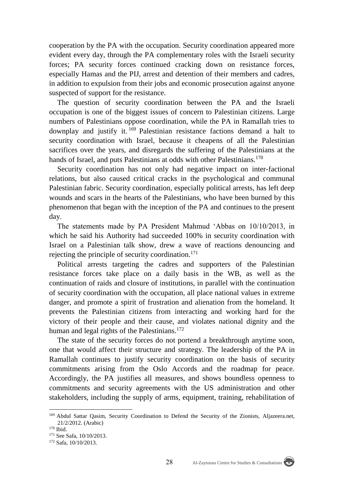cooperation by the PA with the occupation. Security coordination appeared more evident every day, through the PA complementary roles with the Israeli security forces; PA security forces continued cracking down on resistance forces, especially Hamas and the PIJ, arrest and detention of their members and cadres, in addition to expulsion from their jobs and economic prosecution against anyone suspected of support for the resistance.

The question of security coordination between the PA and the Israeli occupation is one of the biggest issues of concern to Palestinian citizens. Large numbers of Palestinians oppose coordination, while the PA in Ramallah tries to downplay and justify it.  $169$  Palestinian resistance factions demand a halt to security coordination with Israel, because it cheapens of all the Palestinian sacrifices over the years, and disregards the suffering of the Palestinians at the hands of Israel, and puts Palestinians at odds with other Palestinians.<sup>170</sup>

Security coordination has not only had negative impact on inter-factional relations, but also caused critical cracks in the psychological and communal Palestinian fabric. Security coordination, especially political arrests, has left deep wounds and scars in the hearts of the Palestinians, who have been burned by this phenomenon that began with the inception of the PA and continues to the present day.

The statements made by PA President Mahmud 'Abbas on 10/10/2013, in which he said his Authority had succeeded 100% in security coordination with Israel on a Palestinian talk show, drew a wave of reactions denouncing and rejecting the principle of security coordination.<sup>171</sup>

Political arrests targeting the cadres and supporters of the Palestinian resistance forces take place on a daily basis in the WB, as well as the continuation of raids and closure of institutions, in parallel with the continuation of security coordination with the occupation, all place national values in extreme danger, and promote a spirit of frustration and alienation from the homeland. It prevents the Palestinian citizens from interacting and working hard for the victory of their people and their cause, and violates national dignity and the human and legal rights of the Palestinians.<sup>172</sup>

The state of the security forces do not portend a breakthrough anytime soon, one that would affect their structure and strategy. The leadership of the PA in Ramallah continues to justify security coordination on the basis of security commitments arising from the Oslo Accords and the roadmap for peace. Accordingly, the PA justifies all measures, and shows boundless openness to commitments and security agreements with the US administration and other stakeholders, including the supply of arms, equipment, training, rehabilitation of

<sup>169</sup> Abdul Sattar Qasim, Security Coordination to Defend the Security of the Zionists, Aljazeera.net, 21/2/2012. (Arabic)

 $170$  Ibid.

<sup>171</sup> See Safa, 10/10/2013.

<sup>172</sup> Safa, 10/10/2013.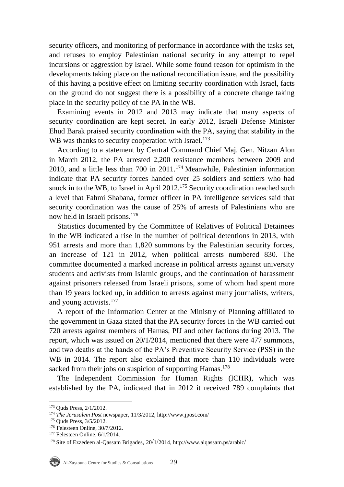security officers, and monitoring of performance in accordance with the tasks set, and refuses to employ Palestinian national security in any attempt to repel incursions or aggression by Israel. While some found reason for optimism in the developments taking place on the national reconciliation issue, and the possibility of this having a positive effect on limiting security coordination with Israel, facts on the ground do not suggest there is a possibility of a concrete change taking place in the security policy of the PA in the WB.

Examining events in 2012 and 2013 may indicate that many aspects of security coordination are kept secret. In early 2012, Israeli Defense Minister Ehud Barak praised security coordination with the PA, saying that stability in the WB was thanks to security cooperation with Israel.<sup>173</sup>

According to a statement by Central Command Chief Maj. Gen. Nitzan Alon in March 2012, the PA arrested 2,200 resistance members between 2009 and 2010, and a little less than 700 in 2011.<sup>174</sup> Meanwhile, Palestinian information indicate that PA security forces handed over 25 soldiers and settlers who had snuck in to the WB, to Israel in April 2012.<sup>175</sup> Security coordination reached such a level that Fahmi Shabana, former officer in PA intelligence services said that security coordination was the cause of 25% of arrests of Palestinians who are now held in Israeli prisons.<sup>176</sup>

Statistics documented by the Committee of Relatives of Political Detainees in the WB indicated a rise in the number of political detentions in 2013, with 951 arrests and more than 1,820 summons by the Palestinian security forces, an increase of 121 in 2012, when political arrests numbered 830. The committee documented a marked increase in political arrests against university students and activists from Islamic groups, and the continuation of harassment against prisoners released from Israeli prisons, some of whom had spent more than 19 years locked up, in addition to arrests against many journalists, writers, and young activists.<sup>177</sup>

A report of the Information Center at the Ministry of Planning affiliated to the government in Gaza stated that the PA security forces in the WB carried out 720 arrests against members of Hamas, PIJ and other factions during 2013. The report, which was issued on 20/1/2014, mentioned that there were 477 summons, and two deaths at the hands of the PA's Preventive Security Service (PSS) in the WB in 2014. The report also explained that more than 110 individuals were sacked from their jobs on suspicion of supporting Hamas.<sup>178</sup>

The Independent Commission for Human Rights (ICHR), which was established by the PA, indicated that in 2012 it received 789 complaints that

 $\overline{a}$ <sup>173</sup> Quds Press, 2/1/2012.

<sup>174</sup> *The Jerusalem Post* newspaper, 11/3/2012, http://www.jpost.com/

<sup>175</sup> Quds Press, 3/5/2012.

<sup>176</sup> Felesteen Online, 30/7/2012.

<sup>&</sup>lt;sup>177</sup> Felesteen Online, 6/1/2014.

<sup>178</sup> Site of Ezzedeen al-Qassam Brigades, 20/1/2014, http://www.alqassam.ps/arabic/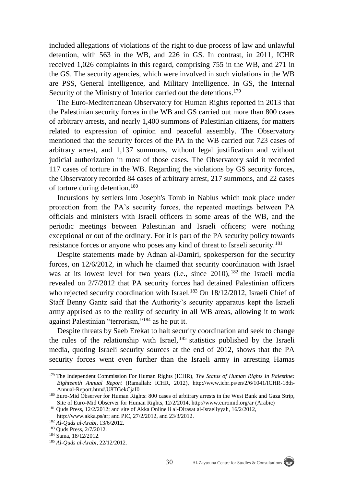included allegations of violations of the right to due process of law and unlawful detention, with 563 in the WB, and 226 in GS. In contrast, in 2011, ICHR received 1,026 complaints in this regard, comprising 755 in the WB, and 271 in the GS. The security agencies, which were involved in such violations in the WB are PSS, General Intelligence, and Military Intelligence. In GS, the Internal Security of the Ministry of Interior carried out the detentions.<sup>179</sup>

The Euro-Mediterranean Observatory for Human Rights reported in 2013 that the Palestinian security forces in the WB and GS carried out more than 800 cases of arbitrary arrests, and nearly 1,400 summons of Palestinian citizens, for matters related to expression of opinion and peaceful assembly. The Observatory mentioned that the security forces of the PA in the WB carried out 723 cases of arbitrary arrest, and 1,137 summons, without legal justification and without judicial authorization in most of those cases. The Observatory said it recorded 117 cases of torture in the WB. Regarding the violations by GS security forces, the Observatory recorded 84 cases of arbitrary arrest, 217 summons, and 22 cases of torture during detention.<sup>180</sup>

Incursions by settlers into Joseph's Tomb in Nablus which took place under protection from the PA's security forces, the repeated meetings between PA officials and ministers with Israeli officers in some areas of the WB, and the periodic meetings between Palestinian and Israeli officers; were nothing exceptional or out of the ordinary. For it is part of the PA security policy towards resistance forces or anyone who poses any kind of threat to Israeli security.<sup>181</sup>

Despite statements made by Adnan al-Damiri, spokesperson for the security forces, on 12/6/2012, in which he claimed that security coordination with Israel was at its lowest level for two years (i.e., since 2010), <sup>182</sup> the Israeli media revealed on 2/7/2012 that PA security forces had detained Palestinian officers who rejected security coordination with Israel.<sup>183</sup> On 18/12/2012, Israeli Chief of Staff Benny Gantz said that the Authority's security apparatus kept the Israeli army apprised as to the reality of security in all WB areas, allowing it to work against Palestinian "terrorism,"<sup>184</sup> as he put it.

Despite threats by Saeb Erekat to halt security coordination and seek to change the rules of the relationship with Israel, <sup>185</sup> statistics published by the Israeli media, quoting Israeli security sources at the end of 2012, shows that the PA security forces went even further than the Israeli army in arresting Hamas

 $\overline{a}$ 

<sup>179</sup> The Independent Commission For Human Rights (ICHR), *The Status of Human Rights In Palestine: Eighteenth Annual Report* (Ramallah: ICHR, 2012), http://www.ichr.ps/en/2/6/1041/ICHR-18th-Annual-Report.htm#.U8TGekCjaI0

<sup>&</sup>lt;sup>180</sup> Euro-Mid Observer for Human Rights: 800 cases of arbitrary arrests in the West Bank and Gaza Strip, Site of Euro-Mid Observer for Human Rights, 12/2/2014,<http://www.euromid.org/ar> (Arabic)

<sup>181</sup> Quds Press, 12/2/2012; and site of Akka Online li al-Dirasat al-Israeliyyah, 16/2/2012, http://www.akka.ps/ar; and PIC, 27/2/2012, and 23/3/2012.

<sup>182</sup> *Al-Quds al-Arabi*, 13/6/2012.

<sup>183</sup> Quds Press, 2/7/2012.

<sup>184</sup> Sama, 18/12/2012.

<sup>185</sup> *Al-Quds al-Arabi*, 22/12/2012.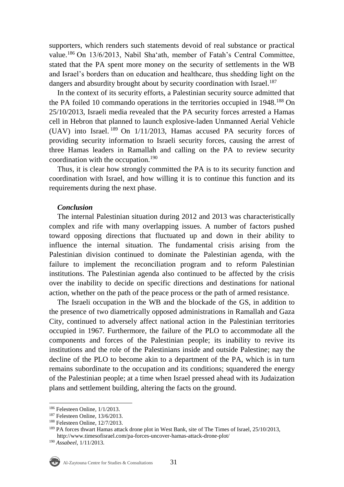supporters, which renders such statements devoid of real substance or practical value.<sup>186</sup> On 13/6/2013, Nabil Sha'ath, member of Fatah's Central Committee, stated that the PA spent more money on the security of settlements in the WB and Israel's borders than on education and healthcare, thus shedding light on the dangers and absurdity brought about by security coordination with Israel.<sup>187</sup>

In the context of its security efforts, a Palestinian security source admitted that the PA foiled 10 commando operations in the territories occupied in 1948.<sup>188</sup> On 25/10/2013, Israeli media revealed that the PA security forces arrested a Hamas cell in Hebron that planned to launch explosive-laden Unmanned Aerial Vehicle (UAV) into Israel.  $189$  On  $1/11/2013$ , Hamas accused PA security forces of providing security information to Israeli security forces, causing the arrest of three Hamas leaders in Ramallah and calling on the PA to review security coordination with the occupation.<sup>190</sup>

Thus, it is clear how strongly committed the PA is to its security function and coordination with Israel, and how willing it is to continue this function and its requirements during the next phase.

## *Conclusion*

The internal Palestinian situation during 2012 and 2013 was characteristically complex and rife with many overlapping issues. A number of factors pushed toward opposing directions that fluctuated up and down in their ability to influence the internal situation. The fundamental crisis arising from the Palestinian division continued to dominate the Palestinian agenda, with the failure to implement the reconciliation program and to reform Palestinian institutions. The Palestinian agenda also continued to be affected by the crisis over the inability to decide on specific directions and destinations for national action, whether on the path of the peace process or the path of armed resistance.

The Israeli occupation in the WB and the blockade of the GS, in addition to the presence of two diametrically opposed administrations in Ramallah and Gaza City, continued to adversely affect national action in the Palestinian territories occupied in 1967. Furthermore, the failure of the PLO to accommodate all the components and forces of the Palestinian people; its inability to revive its institutions and the role of the Palestinians inside and outside Palestine; nay the decline of the PLO to become akin to a department of the PA, which is in turn remains subordinate to the occupation and its conditions; squandered the energy of the Palestinian people; at a time when Israel pressed ahead with its Judaization plans and settlement building, altering the facts on the ground.

<sup>186</sup> Felesteen Online, 1/1/2013.

<sup>187</sup> Felesteen Online, 13/6/2013.

<sup>188</sup> Felesteen Online, 12/7/2013.

<sup>189</sup> PA forces thwart Hamas attack drone plot in West Bank, site of The Times of Israel, 25/10/2013, <http://www.timesofisrael.com/pa-forces-uncover-hamas-attack-drone-plot/>

<sup>190</sup> *Assabeel*, 1/11/2013.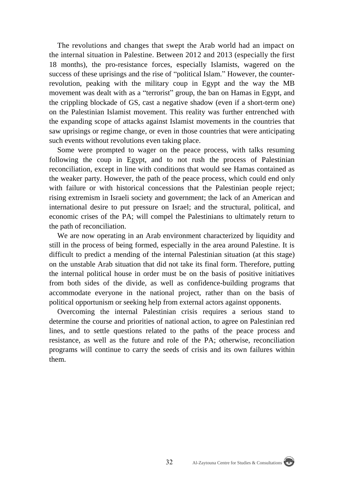The revolutions and changes that swept the Arab world had an impact on the internal situation in Palestine. Between 2012 and 2013 (especially the first 18 months), the pro-resistance forces, especially Islamists, wagered on the success of these uprisings and the rise of "political Islam." However, the counterrevolution, peaking with the military coup in Egypt and the way the MB movement was dealt with as a "terrorist" group, the ban on Hamas in Egypt, and the crippling blockade of GS, cast a negative shadow (even if a short-term one) on the Palestinian Islamist movement. This reality was further entrenched with the expanding scope of attacks against Islamist movements in the countries that saw uprisings or regime change, or even in those countries that were anticipating such events without revolutions even taking place.

Some were prompted to wager on the peace process, with talks resuming following the coup in Egypt, and to not rush the process of Palestinian reconciliation, except in line with conditions that would see Hamas contained as the weaker party. However, the path of the peace process, which could end only with failure or with historical concessions that the Palestinian people reject; rising extremism in Israeli society and government; the lack of an American and international desire to put pressure on Israel; and the structural, political, and economic crises of the PA; will compel the Palestinians to ultimately return to the path of reconciliation.

We are now operating in an Arab environment characterized by liquidity and still in the process of being formed, especially in the area around Palestine. It is difficult to predict a mending of the internal Palestinian situation (at this stage) on the unstable Arab situation that did not take its final form. Therefore, putting the internal political house in order must be on the basis of positive initiatives from both sides of the divide, as well as confidence-building programs that accommodate everyone in the national project, rather than on the basis of political opportunism or seeking help from external actors against opponents.

Overcoming the internal Palestinian crisis requires a serious stand to determine the course and priorities of national action, to agree on Palestinian red lines, and to settle questions related to the paths of the peace process and resistance, as well as the future and role of the PA; otherwise, reconciliation programs will continue to carry the seeds of crisis and its own failures within them.